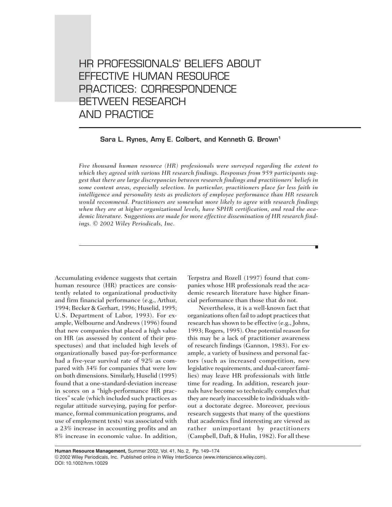# HR PROFESSIONALS' BELIEFS ABOUT EFFECTIVE HUMAN RESOURCE PRACTICES: CORRESPONDENCE BETWEEN RESEARCH AND PRACTICE

## **Sara L. Rynes, Amy E. Colbert, and Kenneth G. Brown1**

*Five thousand human resource (HR) professionals were surveyed regarding the extent to which they agreed with various HR research findings. Responses from 959 participants suggest that there are large discrepancies between research findings and practitioners' beliefs in some content areas, especially selection. In particular, practitioners place far less faith in intelligence and personality tests as predictors of employee performance than HR research would recommend. Practitioners are somewhat more likely to agree with research findings when they are at higher organizational levels, have SPHR certification, and read the academic literature. Suggestions are made for more effective dissemination of HR research findings. © 2002 Wiley Periodicals, Inc.*

Accumulating evidence suggests that certain human resource (HR) practices are consistently related to organizational productivity and firm financial performance (e.g., Arthur, 1994; Becker & Gerhart, 1996; Huselid, 1995; U.S. Department of Labor, 1993). For example, Welbourne and Andrews (1996) found that new companies that placed a high value on HR (as assessed by content of their prospectuses) and that included high levels of organizationally based pay-for-performance had a five-year survival rate of 92% as compared with 34% for companies that were low on both dimensions. Similarly, Huselid (1995) found that a one-standard-deviation increase in scores on a "high-performance HR practices" scale (which included such practices as regular attitude surveying, paying for performance, formal communication programs, and use of employment tests) was associated with a 23% increase in accounting profits and an 8% increase in economic value. In addition, Terpstra and Rozell (1997) found that companies whose HR professionals read the academic research literature have higher financial performance than those that do not.

Nevertheless, it is a well-known fact that organizations often fail to adopt practices that research has shown to be effective (e.g., Johns, 1993; Rogers, 1995). One potential reason for this may be a lack of practitioner awareness of research findings (Gannon, 1983). For example, a variety of business and personal factors (such as increased competition, new legislative requirements, and dual-career families) may leave HR professionals with little time for reading. In addition, research journals have become so technically complex that they are nearly inaccessible to individuals without a doctorate degree. Moreover, previous research suggests that many of the questions that academics find interesting are viewed as rather unimportant by practitioners (Campbell, Daft, & Hulin, 1982). For all these

**Human Resource Management,** Summer 2002, Vol. 41, No. 2, Pp. 149–174 © 2002 Wiley Periodicals, Inc. Published online in Wiley InterScience (www.interscience.wiley.com). DOI: 10.1002/hrm.10029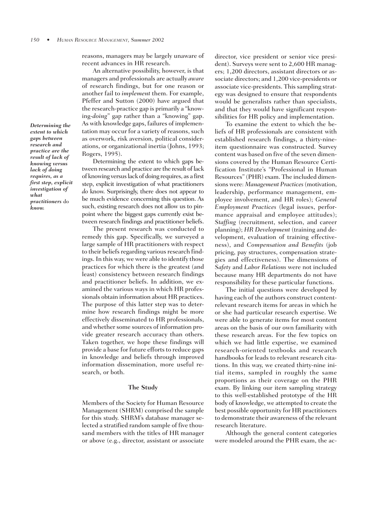reasons, managers may be largely unaware of recent advances in HR research.

An alternative possibility, however, is that managers and professionals are actually *aware* of research findings, but for one reason or another fail to *implement* them. For example, Pfeffer and Sutton (2000) have argued that the research-practice gap is primarily a "knowing-*doing*" gap rather than a "knowing" gap. As with knowledge gaps, failures of implementation may occur for a variety of reasons, such as overwork, risk aversion, political considerations, or organizational inertia (Johns, 1993; Rogers, 1995).

Determining the extent to which gaps between research and practice are the result of lack of knowing versus lack of doing requires, as a first step, explicit investigation of what practitioners *do* know. Surprisingly, there does not appear to be much evidence concerning this question. As such, existing research does not allow us to pinpoint where the biggest gaps currently exist between research findings and practitioner beliefs.

The present research was conducted to remedy this gap. Specifically, we surveyed a large sample of HR practitioners with respect to their beliefs regarding various research findings. In this way, we were able to identify those practices for which there is the greatest (and least) consistency between research findings and practitioner beliefs. In addition, we examined the various ways in which HR professionals obtain information about HR practices. The purpose of this latter step was to determine how research findings might be more effectively disseminated to HR professionals, and whether some sources of information provide greater research accuracy than others. Taken together, we hope these findings will provide a base for future efforts to reduce gaps in knowledge and beliefs through improved information dissemination, more useful research, or both.

#### **The Study**

Members of the Society for Human Resource Management (SHRM) comprised the sample for this study. SHRM's database manager selected a stratified random sample of five thousand members with the titles of HR manager or above (e.g., director, assistant or associate

director, vice president or senior vice president). Surveys were sent to 2,600 HR managers; 1,200 directors, assistant directors or associate directors; and 1,200 vice-presidents or associate vice-presidents. This sampling strategy was designed to ensure that respondents would be generalists rather than specialists, and that they would have significant responsibilities for HR policy and implementation.

To examine the extent to which the beliefs of HR professionals are consistent with established research findings, a thirty-nineitem questionnaire was constructed. Survey content was based on five of the seven dimensions covered by the Human Resource Certification Institute's "Professional in Human Resources"(PHR) exam. The included dimensions were: *Management Practices* (motivation, leadership, performance management, employee involvement, and HR roles); *General Employment Practices* (legal issues, performance appraisal and employee attitudes); *Staffing* (recruitment, selection, and career planning); *HR Development* (training and development, evaluation of training effectiveness), and *Compensation and Benefits* (job pricing, pay structures, compensation strategies and effectiveness). The dimensions of *Safety* and *Labor Relations* were not included because many HR departments do not have responsibility for these particular functions.

The initial questions were developed by having each of the authors construct contentrelevant research items for areas in which he or she had particular research expertise. We were able to generate items for most content areas on the basis of our own familiarity with these research areas. For the few topics on which we had little expertise, we examined research-oriented textbooks and research handbooks for leads to relevant research citations. In this way, we created thirty-nine initial items, sampled in roughly the same proportions as their coverage on the PHR exam. By linking our item sampling strategy to this well-established prototype of the HR body of knowledge, we attempted to create the best possible opportunity for HR practitioners to demonstrate their awareness of the relevant research literature.

Although the general content categories were modeled around the PHR exam, the ac-

*Determining the extent to which gaps between research and practice are the result of lack of knowing versus lack of doing requires, as a first step, explicit investigation of what practitioners* do *know.*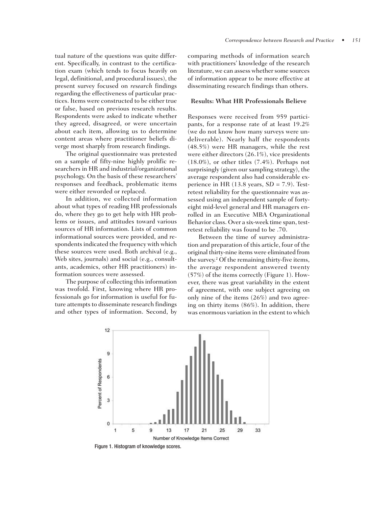tual nature of the questions was quite different. Specifically, in contrast to the certification exam (which tends to focus heavily on legal, definitional, and procedural issues), the present survey focused on *research* findings regarding the effectiveness of particular practices. Items were constructed to be either true or false, based on previous research results. Respondents were asked to indicate whether they agreed, disagreed, or were uncertain about each item, allowing us to determine content areas where practitioner beliefs diverge most sharply from research findings.

The original questionnaire was pretested on a sample of fifty-nine highly prolific researchers in HR and industrial/organizational psychology. On the basis of these researchers' responses and feedback, problematic items were either reworded or replaced.

In addition, we collected information about what types of reading HR professionals do, where they go to get help with HR problems or issues, and attitudes toward various sources of HR information. Lists of common informational sources were provided, and respondents indicated the frequency with which these sources were used. Both archival (e.g., Web sites, journals) and social (e.g., consultants, academics, other HR practitioners) information sources were assessed.

The purpose of collecting this information was twofold. First, knowing where HR professionals go for information is useful for future attempts to disseminate research findings and other types of information. Second, by comparing methods of information search with practitioners' knowledge of the research literature, we can assess whether some sources of information appear to be more effective at disseminating research findings than others.

#### **Results: What HR Professionals Believe**

Responses were received from 959 participants, for a response rate of at least 19.2% (we do not know how many surveys were undeliverable). Nearly half the respondents (48.5%) were HR managers, while the rest were either directors (26.1%), vice presidents (18.0%), or other titles (7.4%). Perhaps not surprisingly (given our sampling strategy), the average respondent also had considerable experience in HR (13.8 years, *SD* = 7.9). Testretest reliability for the questionnaire was assessed using an independent sample of fortyeight mid-level general and HR managers enrolled in an Executive MBA Organizational Behavior class. Over a six-week time span, testretest reliability was found to be .70.

Between the time of survey administration and preparation of this article, four of the original thirty-nine items were eliminated from the survey.2 Of the remaining thirty-five items, the average respondent answered twenty (57%) of the items correctly (Figure 1). However, there was great variability in the extent of agreement, with one subject agreeing on only nine of the items (26%) and two agreeing on thirty items (86%). In addition, there was enormous variation in the extent to which



Figure 1. Histogram of knowledge scores.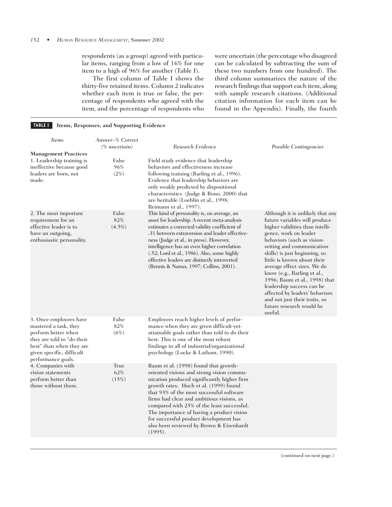respondents (as a group) agreed with particular items, ranging from a low of 16% for one item to a high of 96% for another (Table I).

The first column of Table I shows the thirty-five retained items. Column 2 indicates whether each item is true or false, the percentage of respondents who agreed with the item, and the percentage of respondents who

**TABLE I Items, Responses, and Supporting Evidence**

were uncertain (the percentage who disagreed can be calculated by subtracting the sum of these two numbers from one hundred). The third column summarizes the nature of the research findings that support each item, along with sample research citations. (Additional citation information for each item can be found in the Appendix). Finally, the fourth

| Items                                                                                                                                                                               | Answer-% Correct<br>$(\%$ uncertain) | Research Evidence                                                                                                                                                                                                                                                                                                                                                                                                                                                | Possible Contingencies                                                                                                                                                                                                                                                                                                                                                                                                                                                                         |
|-------------------------------------------------------------------------------------------------------------------------------------------------------------------------------------|--------------------------------------|------------------------------------------------------------------------------------------------------------------------------------------------------------------------------------------------------------------------------------------------------------------------------------------------------------------------------------------------------------------------------------------------------------------------------------------------------------------|------------------------------------------------------------------------------------------------------------------------------------------------------------------------------------------------------------------------------------------------------------------------------------------------------------------------------------------------------------------------------------------------------------------------------------------------------------------------------------------------|
| <b>Management Practices</b><br>1. Leadership training is<br>ineffective because good<br>leaders are born, not<br>made.                                                              | False<br>96%<br>(2%)                 | Field study evidence that leadership<br>behaviors and effectiveness increase<br>following training (Barling et al., 1996).<br>Evidence that leadership behaviors are<br>only weakly predicted by dispositional<br>characteristics (Judge & Bono, 2000) that<br>are heritable (Loehlin et al., 1998;<br>Reimann et al., 1997).                                                                                                                                    |                                                                                                                                                                                                                                                                                                                                                                                                                                                                                                |
| 2. The most important<br>requirement for an<br>effective leader is to<br>have an outgoing,<br>enthusiastic personality.                                                             | False<br>82%<br>$(4.5\%)$            | This kind of personality is, on average, an<br>asset for leadership. A recent meta-analysis<br>estimates a corrected validity coefficient of<br>.31 between extraversion and leader effective-<br>ness (Judge et al., in press). However,<br>intelligence has an even higher correlation<br>(.52; Lord et al., 1986). Also, some highly<br>effective leaders are distinctly introverted<br>(Bennis & Nanus, 1997; Collins, 2001).                                | Although it is unlikely that any<br>future variables will produce<br>higher validities than intelli-<br>gence, work on leader<br>behaviors (such as vision-<br>setting and communication<br>skills) is just beginning, so<br>little is known about their<br>average effect sizes. We do<br>know (e.g., Barling et al.,<br>1996; Baum et al., 1998) that<br>leadership success can be<br>affected by leaders' behaviors<br>and not just their traits, so<br>future research would be<br>useful. |
| 3. Once employees have<br>mastered a task, they<br>perform better when<br>they are told to "do their<br>best" than when they are<br>given specific, difficult<br>performance goals. | False<br>82%<br>(6%)                 | Employees reach higher levels of perfor-<br>mance when they are given difficult-yet-<br>attainable goals rather than told to do their<br>best. This is one of the most robust<br>findings in all of industrial/organizational<br>psychology (Locke & Latham, 1990).                                                                                                                                                                                              |                                                                                                                                                                                                                                                                                                                                                                                                                                                                                                |
| 4. Companies with<br>vision statements<br>perform better than<br>those without them.                                                                                                | True<br>62%<br>(15%)                 | Baum et al. (1998) found that growth-<br>oriented visions and strong vision commu-<br>nication produced significantly higher firm<br>growth rates. Hoch et al. (1999) found<br>that 93% of the most successful software<br>firms had clear and ambitious visions, as<br>compared with 25% of the least successful.<br>The importance of having a product vision<br>for successful product development has<br>also been reviewed by Brown & Eisenhardt<br>(1995). |                                                                                                                                                                                                                                                                                                                                                                                                                                                                                                |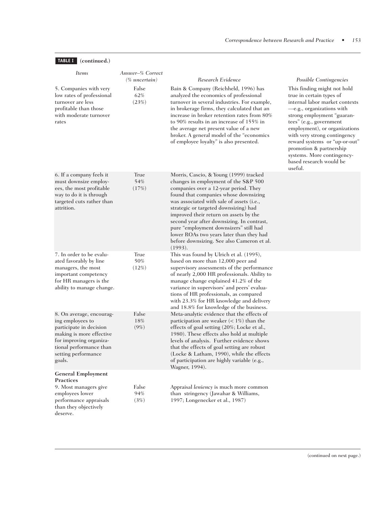| Items                                                                                                                                                                                      | Answer–% Correct<br>$(\%$ uncertain) | Research Evidence                                                                                                                                                                                                                                                                                                                                                                                                                                                                             | Possible Contingencies                                                                                                                                                                                                                                                                                                                                                           |
|--------------------------------------------------------------------------------------------------------------------------------------------------------------------------------------------|--------------------------------------|-----------------------------------------------------------------------------------------------------------------------------------------------------------------------------------------------------------------------------------------------------------------------------------------------------------------------------------------------------------------------------------------------------------------------------------------------------------------------------------------------|----------------------------------------------------------------------------------------------------------------------------------------------------------------------------------------------------------------------------------------------------------------------------------------------------------------------------------------------------------------------------------|
| 5. Companies with very<br>low rates of professional<br>turnover are less<br>profitable than those<br>with moderate turnover<br>rates                                                       | False<br>62%<br>(23%)                | Bain & Company (Reichheld, 1996) has<br>analyzed the economics of professional<br>turnover in several industries. For example,<br>in brokerage firms, they calculated that an<br>increase in broker retention rates from 80%<br>to 90% results in an increase of 155% in<br>the average net present value of a new<br>broker. A general model of the "economics<br>of employee loyalty" is also presented.                                                                                    | This finding might not hold<br>true in certain types of<br>internal labor market contexts<br>—e.g., organizations with<br>strong employment "guaran-<br>tees" (e.g., government<br>employment), or organizations<br>with very strong contingency<br>reward systems or "up-or-out"<br>promotion & partnership<br>systems. More contingency-<br>based research would be<br>useful. |
| 6. If a company feels it<br>must downsize employ-<br>ees, the most profitable<br>way to do it is through<br>targeted cuts rather than<br>attrition.                                        | True<br>54%<br>(17%)                 | Morris, Cascio, & Young (1999) tracked<br>changes in employment of the S&P 500<br>companies over a 12-year period. They<br>found that companies whose downsizing<br>was associated with sale of assets (i.e.,<br>strategic or targeted downsizing) had<br>improved their return on assets by the<br>second year after downsizing. In contrast,<br>pure "employment downsizers" still had<br>lower ROAs two years later than they had<br>before downsizing. See also Cameron et al.<br>(1993). |                                                                                                                                                                                                                                                                                                                                                                                  |
| 7. In order to be evalu-<br>ated favorably by line<br>managers, the most<br>important competency<br>for HR managers is the<br>ability to manage change.                                    | True<br>50%<br>(12%)                 | This was found by Ulrich et al. (1995),<br>based on more than 12,000 peer and<br>supervisory assessments of the performance<br>of nearly 2,000 HR professionals. Ability to<br>manage change explained 41.2% of the<br>variance in supervisors' and peers' evalua-<br>tions of HR professionals, as compared<br>with 23.3% for HR knowledge and delivery<br>and 18.8% for knowledge of the business.                                                                                          |                                                                                                                                                                                                                                                                                                                                                                                  |
| 8. On average, encourag-<br>ing employees to<br>participate in decision<br>making is more effective<br>for improving organiza-<br>tional performance than<br>setting performance<br>goals. | False<br>18%<br>(9%)                 | Meta-analytic evidence that the effects of<br>participation are weaker $\left($ < 1%) than the<br>effects of goal setting (20%; Locke et al.,<br>1980). These effects also hold at multiple<br>levels of analysis. Further evidence shows<br>that the effects of goal setting are robust<br>(Locke & Latham, 1990), while the effects<br>of participation are highly variable (e.g.,<br>Wagner, 1994).                                                                                        |                                                                                                                                                                                                                                                                                                                                                                                  |
| <b>General Employment</b><br><b>Practices</b><br>9. Most managers give<br>employees lower<br>performance appraisals<br>than they objectively<br>deserve.                                   | False<br>94%<br>(3%)                 | Appraisal leniency is much more common<br>than stringency (Jawahar & Williams,<br>1997; Longenecker et al., 1987)                                                                                                                                                                                                                                                                                                                                                                             |                                                                                                                                                                                                                                                                                                                                                                                  |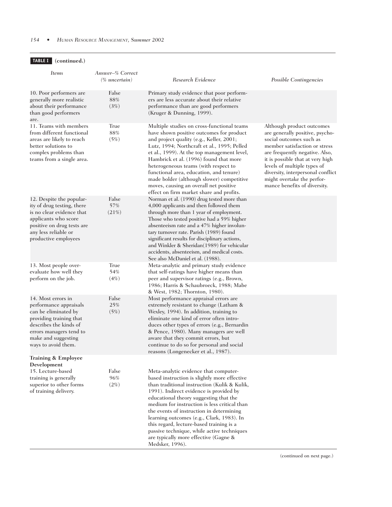*Items Answer–% Correct*

|                                                                                                                                                                                                    | $(\%$ uncertain)      | Research Evidence                                                                                                                                                                                                                                                                                                                                                                                                                                                                                                         | Possible Contingencies                                                                                                                                                                                                                                                                                                           |
|----------------------------------------------------------------------------------------------------------------------------------------------------------------------------------------------------|-----------------------|---------------------------------------------------------------------------------------------------------------------------------------------------------------------------------------------------------------------------------------------------------------------------------------------------------------------------------------------------------------------------------------------------------------------------------------------------------------------------------------------------------------------------|----------------------------------------------------------------------------------------------------------------------------------------------------------------------------------------------------------------------------------------------------------------------------------------------------------------------------------|
| 10. Poor performers are<br>generally more realistic<br>about their performance<br>than good performers<br>are.                                                                                     | False<br>88%<br>(3%)  | Primary study evidence that poor perform-<br>ers are less accurate about their relative<br>performance than are good performers<br>(Kruger & Dunning, 1999).                                                                                                                                                                                                                                                                                                                                                              |                                                                                                                                                                                                                                                                                                                                  |
| 11. Teams with members<br>from different functional<br>areas are likely to reach<br>better solutions to<br>complex problems than<br>teams from a single area.                                      | True<br>88%<br>(5%)   | Multiple studies on cross-functional teams<br>have shown positive outcomes for product<br>and project quality (e.g., Keller, 2001;<br>Lutz, 1994; Northcraft et al., 1995; Pelled<br>et al., 1999). At the top management level,<br>Hambrick et al. (1996) found that more<br>heterogeneous teams (with respect to<br>functional area, education, and tenure)<br>made bolder (although slower) competitive<br>moves, causing an overall net positive<br>effect on firm market share and profits.                          | Although product outcomes<br>are generally positive, psycho-<br>social outcomes such as<br>member satisfaction or stress<br>are frequently negative. Also,<br>it is possible that at very high<br>levels of multiple types of<br>diversity, interpersonal conflict<br>might overtake the perfor-<br>mance benefits of diversity. |
| 12. Despite the popular-<br>ity of drug testing, there<br>is no clear evidence that<br>applicants who score<br>positive on drug tests are<br>any less reliable or<br>productive employees          | False<br>57%<br>(21%) | Norman et al. (1990) drug tested more than<br>4,000 applicants and then followed them<br>through more than 1 year of employment.<br>Those who tested positive had a 59% higher<br>absenteeism rate and a 47% higher involun-<br>tary turnover rate. Parish (1989) found<br>significant results for disciplinary actions,<br>and Winkler & Sheridan(1989) for vehicular<br>accidents, absenteeism, and medical costs.<br>See also McDaniel et al. (1988).                                                                  |                                                                                                                                                                                                                                                                                                                                  |
| 13. Most people over-<br>evaluate how well they<br>perform on the job.                                                                                                                             | True<br>54%<br>(4%)   | Meta-analytic and primary study evidence<br>that self-ratings have higher means than<br>peer and supervisor ratings (e.g., Brown,<br>1986; Harris & Schaubroeck, 1988; Mabe<br>& West, 1982; Thornton, 1980).                                                                                                                                                                                                                                                                                                             |                                                                                                                                                                                                                                                                                                                                  |
| 14. Most errors in<br>performance appraisals<br>can be eliminated by<br>providing training that<br>describes the kinds of<br>errors managers tend to<br>make and suggesting<br>ways to avoid them. | False<br>25%<br>(5%)  | Most performance appraisal errors are<br>extremely resistant to change (Latham &<br>Wexley, 1994). In addition, training to<br>eliminate one kind of error often intro-<br>duces other types of errors (e.g., Bernardin<br>& Pence, 1980). Many managers are well<br>aware that they commit errors, but<br>continue to do so for personal and social<br>reasons (Longenecker et al., 1987).                                                                                                                               |                                                                                                                                                                                                                                                                                                                                  |
| Training & Employee<br>Development<br>15. Lecture-based<br>training is generally<br>superior to other forms<br>of training delivery.                                                               | False<br>96%<br>(2%)  | Meta-analytic evidence that computer-<br>based instruction is slightly more effective<br>than traditional instruction (Kulik & Kulik,<br>1991). Indirect evidence is provided by<br>educational theory suggesting that the<br>medium for instruction is less critical than<br>the events of instruction in determining<br>learning outcomes (e.g., Clark, 1983). In<br>this regard, lecture-based training is a<br>passive technique, while active techniques<br>are typically more effective (Gagne &<br>Medsker, 1996). |                                                                                                                                                                                                                                                                                                                                  |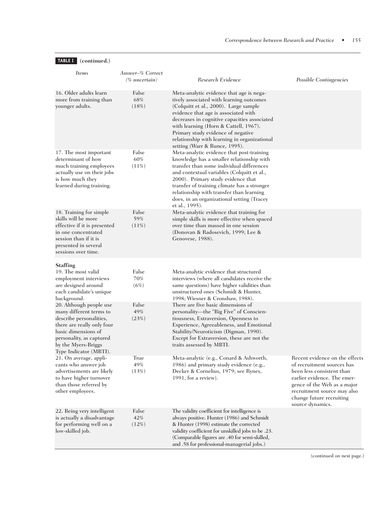| Items                                                                                                                                                                                                           | Answer-% Correct<br>(% uncertain) | Research Evidence                                                                                                                                                                                                                                                                                                                                                                     | Possible Contingencies                                                                                                                                                                                                                 |
|-----------------------------------------------------------------------------------------------------------------------------------------------------------------------------------------------------------------|-----------------------------------|---------------------------------------------------------------------------------------------------------------------------------------------------------------------------------------------------------------------------------------------------------------------------------------------------------------------------------------------------------------------------------------|----------------------------------------------------------------------------------------------------------------------------------------------------------------------------------------------------------------------------------------|
| 16. Older adults learn<br>more from training than<br>younger adults.                                                                                                                                            | False<br>68%<br>(18%)             | Meta-analytic evidence that age is nega-<br>tively associated with learning outcomes<br>(Colquitt et al., 2000). Large sample<br>evidence that age is associated with<br>decreases in cognitive capacities associated<br>with learning (Horn & Cattell, 1967).<br>Primary study evidence of negative<br>relationship with learning in organizational<br>setting (Warr & Bunce, 1995). |                                                                                                                                                                                                                                        |
| 17. The most important<br>determinant of how<br>much training employees<br>actually use on their jobs<br>is how much they<br>learned during training.                                                           | False<br>60%<br>(11%)             | Meta-analytic evidence that post-training<br>knowledge has a smaller relationship with<br>transfer than some individual differences<br>and contextual variables (Colquitt et al.,<br>2000). Primary study evidence that<br>transfer of training climate has a stronger<br>relationship with transfer than learning<br>does, in an organizational setting (Tracey<br>et al., 1995).    |                                                                                                                                                                                                                                        |
| 18. Training for simple<br>skills will be more<br>effective if it is presented<br>in one concentrated<br>session than if it is<br>presented in several<br>sessions over time.                                   | False<br>59%<br>(11%)             | Meta-analytic evidence that training for<br>simple skills is more effective when spaced<br>over time than massed in one session<br>(Donovan & Radosevich, 1999; Lee &<br>Genovese, 1988).                                                                                                                                                                                             |                                                                                                                                                                                                                                        |
| <b>Staffing</b><br>19. The most valid<br>employment interviews<br>are designed around<br>each candidate's unique<br>background.                                                                                 | False<br>70%<br>(6%)              | Meta-analytic evidence that structured<br>interviews (where all candidates receive the<br>same questions) have higher validities than<br>unstructured ones (Schmidt & Hunter,<br>1998; Wiesner & Cronshaw, 1988).                                                                                                                                                                     |                                                                                                                                                                                                                                        |
| 20. Although people use<br>many different terms to<br>describe personalities,<br>there are really only four<br>basic dimensions of<br>personality, as captured<br>by the Myers-Briggs<br>Type Indicator (MBTI). | False<br>49%<br>(23%)             | There are five basic dimensions of<br>personality—the "Big Five" of Conscien-<br>tiousness, Extraversion, Openness to<br>Experience, Agreeableness, and Emotional<br>Stability/Neuroticism (Digman, 1990).<br>Except for Extraversion, these are not the<br>traits assessed by MBTI.                                                                                                  |                                                                                                                                                                                                                                        |
| 21. On average, appli-<br>cants who answer job<br>advertisements are likely<br>to have higher turnover<br>than those referred by<br>other employees.                                                            | True<br>49%<br>(13%)              | Meta-analytic (e.g., Conard & Ashworth,<br>1986) and primary study evidence (e.g.,<br>Decker & Cornelius, 1979; see Rynes,<br>1991, for a review).                                                                                                                                                                                                                                    | Recent evidence on the effects<br>of recruitment sources has<br>been less consistent than<br>earlier evidence. The emer-<br>gence of the Web as a major<br>recruitment source may also<br>change future recruiting<br>source dynamics. |
| 22. Being very intelligent<br>is actually a disadvantage<br>for performing well on a<br>low-skilled job.                                                                                                        | False<br>42%<br>(12%)             | The validity coefficient for intelligence is<br>always positive. Hunter (1986) and Schmidt<br>& Hunter (1998) estimate the corrected<br>validity coefficient for unskilled jobs to be .23.<br>(Comparable figures are .40 for semi-skilled,<br>and .58 for professional-managerial jobs.)                                                                                             |                                                                                                                                                                                                                                        |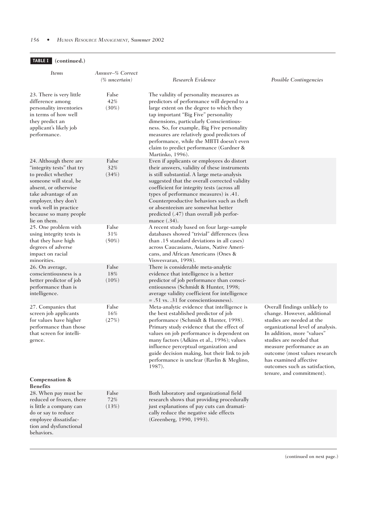| Items                                                                                                                                                                                                                                           | Answer-% Correct<br>$(\%$ uncertain) | Research Evidence                                                                                                                                                                                                                                                                                                                                                                                                                     | Possible Contingencies                                                                                                                                                                                                                                                                                                                       |  |  |  |  |
|-------------------------------------------------------------------------------------------------------------------------------------------------------------------------------------------------------------------------------------------------|--------------------------------------|---------------------------------------------------------------------------------------------------------------------------------------------------------------------------------------------------------------------------------------------------------------------------------------------------------------------------------------------------------------------------------------------------------------------------------------|----------------------------------------------------------------------------------------------------------------------------------------------------------------------------------------------------------------------------------------------------------------------------------------------------------------------------------------------|--|--|--|--|
| 23. There is very little<br>difference among<br>personality inventories<br>in terms of how well<br>they predict an<br>applicant's likely job<br>performance.                                                                                    | False<br>42%<br>$(30\%)$             | The validity of personality measures as<br>predictors of performance will depend to a<br>large extent on the degree to which they<br>tap important "Big Five" personality<br>dimensions, particularly Conscientious-<br>ness. So, for example, Big Five personality<br>measures are relatively good predictors of<br>performance, while the MBTI doesn't even<br>claim to predict performance (Gardner &<br>Martinko, 1996).          |                                                                                                                                                                                                                                                                                                                                              |  |  |  |  |
| 24. Although there are<br>"integrity tests" that try<br>to predict whether<br>someone will steal, be<br>absent, or otherwise<br>take advantage of an<br>employer, they don't<br>work well in practice<br>because so many people<br>lie on them. | False<br>32%<br>(34%)                | Even if applicants or employees do distort<br>their answers, validity of these instruments<br>is still substantial. A large meta-analysis<br>suggested that the overall corrected validity<br>coefficient for integrity tests (across all<br>types of performance measures) is .41.<br>Counterproductive behaviors such as theft<br>or absenteeism are somewhat better<br>predicted (.47) than overall job perfor-<br>mance $(.34)$ . |                                                                                                                                                                                                                                                                                                                                              |  |  |  |  |
| 25. One problem with<br>using integrity tests is<br>that they have high<br>degrees of adverse<br>impact on racial<br>minorities.                                                                                                                | False<br>31%<br>$(50\%)$             | A recent study based on four large-sample<br>databases showed "trivial" differences (less<br>than .15 standard deviations in all cases)<br>across Caucasians, Asians, Native Ameri-<br>cans, and African Americans (Ones &<br>Viswesvaran, 1998).                                                                                                                                                                                     |                                                                                                                                                                                                                                                                                                                                              |  |  |  |  |
| 26. On average,<br>conscientiousness is a<br>better predictor of job<br>performance than is<br>intelligence.                                                                                                                                    | False<br>18%<br>(10%)                | There is considerable meta-analytic<br>evidence that intelligence is a better<br>predictor of job performance than consci-<br>entiousness (Schmidt & Hunter, 1998;<br>average validity coefficient for intelligence<br>$= .51$ vs. $.31$ for conscientiousness).                                                                                                                                                                      |                                                                                                                                                                                                                                                                                                                                              |  |  |  |  |
| 27. Companies that<br>screen job applicants<br>for values have higher<br>performance than those<br>that screen for intelli-<br>gence.                                                                                                           | False<br>16%<br>(27%)                | Meta-analytic evidence that intelligence is<br>the best established predictor of job<br>performance (Schmidt & Hunter, 1998).<br>Primary study evidence that the effect of<br>values on job performance is dependent on<br>many factors (Adkins et al., 1996); values<br>influence perceptual organization and<br>guide decision making, but their link to job<br>performance is unclear (Ravlin & Meglino,<br>1987).                 | Overall findings unlikely to<br>change. However, additional<br>studies are needed at the<br>organizational level of analysis.<br>In addition, more "values"<br>studies are needed that<br>measure performance as an<br>outcome (most values research<br>has examined affective<br>outcomes such as satisfaction,<br>tenure, and commitment). |  |  |  |  |
| Compensation &<br><b>Benefits</b>                                                                                                                                                                                                               |                                      |                                                                                                                                                                                                                                                                                                                                                                                                                                       |                                                                                                                                                                                                                                                                                                                                              |  |  |  |  |
| 28. When pay must be<br>reduced or frozen, there<br>is little a company can<br>do or say to reduce<br>employee dissatisfac-<br>tion and dysfunctional<br>behaviors.                                                                             | False<br>72%<br>(13%)                | Both laboratory and organizational field<br>research shows that providing procedurally<br>just explanations of pay cuts can dramati-<br>cally reduce the negative side effects<br>(Greenberg, 1990, 1993).                                                                                                                                                                                                                            |                                                                                                                                                                                                                                                                                                                                              |  |  |  |  |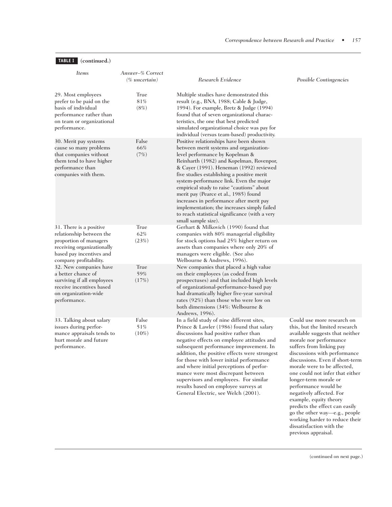| Items                                                                                                                                                             | Answer-% Correct<br>$(\%$ uncertain) | Research Evidence                                                                                                                                                                                                                                                                                                                                                                                                                                                                                                                                              | Possible Contingencies                                                                                                                                                                                                                                                                                                                                                                                                                                                                                 |  |  |  |  |
|-------------------------------------------------------------------------------------------------------------------------------------------------------------------|--------------------------------------|----------------------------------------------------------------------------------------------------------------------------------------------------------------------------------------------------------------------------------------------------------------------------------------------------------------------------------------------------------------------------------------------------------------------------------------------------------------------------------------------------------------------------------------------------------------|--------------------------------------------------------------------------------------------------------------------------------------------------------------------------------------------------------------------------------------------------------------------------------------------------------------------------------------------------------------------------------------------------------------------------------------------------------------------------------------------------------|--|--|--|--|
| 29. Most employees<br>prefer to be paid on the<br>basis of individual<br>performance rather than<br>on team or organizational<br>performance.                     | True<br>81%<br>(8%)                  | Multiple studies have demonstrated this<br>result (e.g., BNA, 1988; Cable & Judge,<br>1994). For example, Bretz & Judge (1994)<br>found that of seven organizational charac-<br>teristics, the one that best predicted<br>simulated organizational choice was pay for<br>individual (versus team-based) productivity.                                                                                                                                                                                                                                          |                                                                                                                                                                                                                                                                                                                                                                                                                                                                                                        |  |  |  |  |
| 30. Merit pay systems<br>cause so many problems<br>that companies without<br>them tend to have higher<br>performance than<br>companies with them.                 | False<br>66%<br>(7%)                 | Positive relationships have been shown<br>between merit systems and organization-<br>level performance by Kopelman &<br>Reinharth (1982) and Kopelman, Rovenpor,<br>& Cayer (1991). Heneman (1992) reviewed<br>five studies establishing a positive merit<br>system-performance link. Even the major<br>empirical study to raise "cautions" about<br>merit pay (Pearce et al., 1985) found<br>increases in performance after merit pay<br>implementation; the increases simply failed<br>to reach statistical significance (with a very<br>small sample size). |                                                                                                                                                                                                                                                                                                                                                                                                                                                                                                        |  |  |  |  |
| 31. There is a positive<br>relationship between the<br>proportion of managers<br>receiving organizationally<br>based pay incentives and<br>company profitability. | True<br>62%<br>(23%)                 | Gerhart & Milkovich (1990) found that<br>companies with 80% managerial eligibility<br>for stock options had 25% higher return on<br>assets than companies where only 20% of<br>managers were eligible. (See also<br>Welbourne & Andrews, 1996).                                                                                                                                                                                                                                                                                                                |                                                                                                                                                                                                                                                                                                                                                                                                                                                                                                        |  |  |  |  |
| 32. New companies have<br>a better chance of<br>surviving if all employees<br>receive incentives based<br>on organization-wide<br>performance.                    | True<br>59%<br>(17%)                 | New companies that placed a high value<br>on their employees (as coded from<br>prospectuses) and that included high levels<br>of organizational-performance-based pay<br>had dramatically higher five-year survival<br>rates (92%) than those who were low on<br>both dimensions (34%: Welbourne &<br>Andrews, 1996).                                                                                                                                                                                                                                          |                                                                                                                                                                                                                                                                                                                                                                                                                                                                                                        |  |  |  |  |
| 33. Talking about salary<br>issues during perfor-<br>mance appraisals tends to<br>hurt morale and future<br>performance.                                          | False<br>51%<br>$(10\%)$             | In a field study of nine different sites,<br>Prince & Lawler (1986) found that salary<br>discussions had positive rather than<br>negative effects on employee attitudes and<br>subsequent performance improvement. In<br>addition, the positive effects were strongest<br>for those with lower initial performance<br>and where initial perceptions of perfor-<br>mance were most discrepant between<br>supervisors and employees. For similar<br>results based on employee surveys at<br>General Electric, see Welch (2001).                                  | Could use more research on<br>this, but the limited research<br>available suggests that neither<br>morale nor performance<br>suffers from linking pay<br>discussions with performance<br>discussions. Even if short-term<br>morale were to be affected,<br>one could not infer that either<br>longer-term morale or<br>performance would be<br>negatively affected. For<br>example, equity theory<br>predicts the effect can easily<br>go the other way—e.g., people<br>working harder to reduce their |  |  |  |  |

(continued on next page.)

dissatisfaction with the previous appraisal.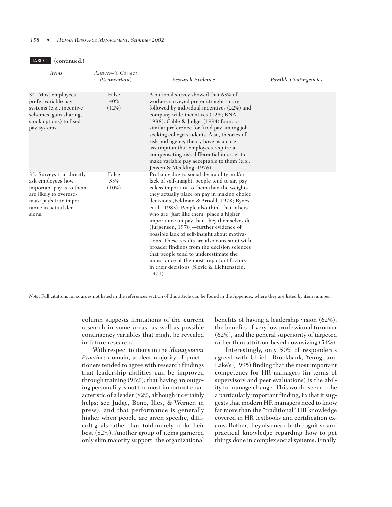| Items                                                                                                                                                              | Answer-% Correct<br>$(\%$ uncertain) | Research Evidence                                                                                                                                                                                                                                                                                                                                                                                                                                                                                                                                                                                                                                                                                                  | Possible Contingencies |
|--------------------------------------------------------------------------------------------------------------------------------------------------------------------|--------------------------------------|--------------------------------------------------------------------------------------------------------------------------------------------------------------------------------------------------------------------------------------------------------------------------------------------------------------------------------------------------------------------------------------------------------------------------------------------------------------------------------------------------------------------------------------------------------------------------------------------------------------------------------------------------------------------------------------------------------------------|------------------------|
| 34. Most employees<br>prefer variable pay<br>systems (e.g., incentive<br>schemes, gain sharing,<br>stock options) to fixed<br>pay systems.                         | False<br>40%<br>(12%)                | A national survey showed that 63% of<br>workers surveyed prefer straight salary,<br>followed by individual incentives (22%) and<br>company-wide incentives (12%; BNA,<br>1988). Cable & Judge (1994) found a<br>similar preference for fixed pay among job-<br>seeking college students. Also, theories of<br>risk and agency theory have as a core<br>assumption that employees require a<br>compensating risk differential in order to<br>make variable pay acceptable to them (e.g.,<br>Jensen & Meckling, 1976).                                                                                                                                                                                               |                        |
| 35. Surveys that directly<br>ask employees how<br>important pay is to them<br>are likely to overesti-<br>mate pay's true impor-<br>tance in actual deci-<br>sions. | False<br>35%<br>$(10\%)$             | Probably due to social desirability and/or<br>lack of self-insight, people tend to say pay<br>is less important to them than the weights<br>they actually place on pay in making choice<br>decisions (Feldman & Arnold, 1978; Rynes<br>et al., 1983). People also think that others<br>who are "just like them" place a higher<br>importance on pay than they themselves do<br>(Jurgensen, 1978)—further evidence of<br>possible lack of self-insight about motiva-<br>tions. These results are also consistent with<br>broader findings from the decision sciences<br>that people tend to underestimate the<br>importance of the most important factors<br>in their decisions (Slovic & Lichtenstein,<br>$1971$ . |                        |

*Note*: Full citations for sources not listed in the references section of this article can be found in the Appendix, where they are listed by item number.

column suggests limitations of the current research in some areas, as well as possible contingency variables that might be revealed in future research.

With respect to items in the *Management Practices* domain, a clear majority of practitioners tended to agree with research findings that leadership abilities can be improved through training (96%); that having an outgoing personality is not the most important characteristic of a leader (82%, although it certainly helps; see Judge, Bono, Ilies, & Werner, in press), and that performance is generally higher when people are given specific, difficult goals rather than told merely to do their best (82%). Another group of items garnered only slim majority support: the organizational

benefits of having a leadership vision (62%), the benefits of very low professional turnover (62%), and the general superiority of targeted rather than attrition-based downsizing (54%).

Interestingly, only 50% of respondents agreed with Ulrich, Brockbank, Yeung, and Lake's (1995) finding that the most important competency for HR managers (in terms of supervisory and peer evaluations) is the ability to manage change. This would seem to be a particularly important finding, in that it suggests that modern HR managers need to know far more than the "traditional" HR knowledge covered in HR textbooks and certification exams. Rather, they also need both cognitive and practical knowledge regarding how to get things done in complex social systems. Finally,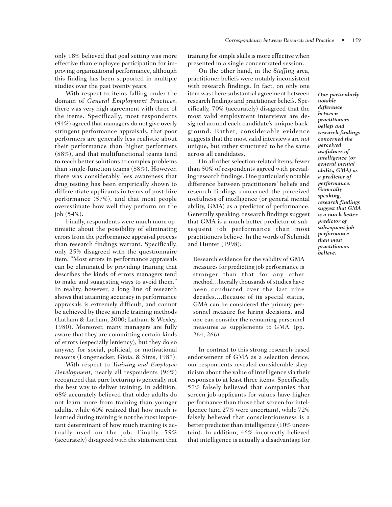only 18% believed that goal setting was more effective than employee participation for improving organizational performance, although this finding has been supported in multiple studies over the past twenty years.

With respect to items falling under the domain of *General Employment Practices*, there was very high agreement with three of the items. Specifically, most respondents (94%) agreed that managers do not give overly stringent performance appraisals, that poor performers are generally less realistic about their performance than higher performers (88%), and that multifunctional teams tend to reach better solutions to complex problems than single-function teams (88%). However, there was considerably less awareness that drug testing has been empirically shown to differentiate applicants in terms of post-hire performance (57%), and that most people overestimate how well they perform on the job (54%).

Finally, respondents were much more optimistic about the possibility of eliminating errors from the performance appraisal process than research findings warrant. Specifically, only 25% disagreed with the questionnaire item, "Most errors in performance appraisals can be eliminated by providing training that describes the kinds of errors managers tend to make and suggesting ways to avoid them." In reality, however, a long line of research shows that attaining accuracy in performance appraisals is extremely difficult, and cannot be achieved by these simple training methods (Latham & Latham, 2000; Latham & Wexley, 1980). Moreover, many managers are fully aware that they are committing certain kinds of errors (especially leniency), but they do so anyway for social, political, or motivational reasons (Longenecker, Gioia, & Sims, 1987).

With respect to *Training and Employee Development,* nearly all respondents (96%) recognized that pure lecturing is generally not the best way to deliver training. In addition, 68% accurately believed that older adults do not learn more from training than younger adults, while 60% realized that how much is learned during training is not the most important determinant of how much training is actually used on the job. Finally, 59% (accurately) disagreed with the statement that

training for simple skills is more effective when presented in a single concentrated session.

On the other hand, in the *Staffing* area, practitioner beliefs were notably inconsistent with research findings. In fact, on only one item was there substantial agreement between research findings and practitioner beliefs. Specifically, 70% (accurately) disagreed that the most valid employment interviews are designed around each candidate's unique background. Rather, considerable evidence suggests that the most valid interviews are *not* unique, but rather structured to be the same across all candidates.

On all other selection-related items, fewer than 50% of respondents agreed with prevailing research findings. One particularly notable difference between practitioners' beliefs and research findings concerned the perceived usefulness of intelligence (or general mental ability, GMA) as a predictor of performance. Generally speaking, research findings suggest that GMA is a much better predictor of subsequent job performance than most practitioners believe. In the words of Schmidt and Hunter (1998):

Research evidence for the validity of GMA measures for predicting job performance is stronger than that for any other method…literally thousands of studies have been conducted over the last nine decades….Because of its special status, GMA can be considered the primary personnel measure for hiring decisions, and one can consider the remaining personnel measures as supplements to GMA. (pp. 264, 266)

In contrast to this strong research-based endorsement of GMA as a selection device, our respondents revealed considerable skepticism about the value of intelligence via their responses to at least three items. Specifically, 57% falsely believed that companies that screen job applicants for values have higher performance than those that screen for intelligence (and 27% were uncertain), while 72% falsely believed that conscientiousness is a better predictor than intelligence (10% uncertain). In addition, 46% incorrectly believed that intelligence is actually a disadvantage for *One particularly notable difference between practitioners' beliefs and research findings concerned the perceived usefulness of intelligence (or general mental ability, GMA) as a predictor of performance. Generally speaking, research findings suggest that GMA is a much better predictor of subsequent job performance than most practitioners believe.*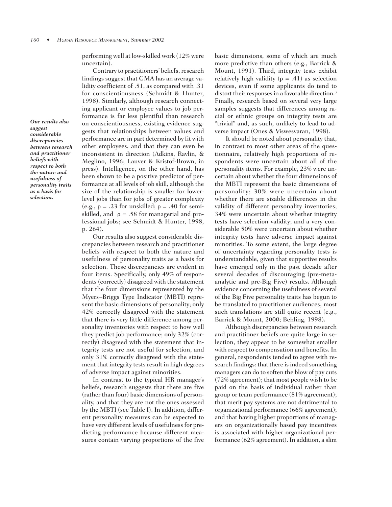performing well at low-skilled work (12% were uncertain).

*Our results also suggest considerable discrepancies between research and practitioner beliefs with respect to both the nature and usefulness of personality traits as a basis for selection.*

Contrary to practitioners' beliefs, research findings suggest that GMA has an average validity coefficient of .51, as compared with .31 for conscientiousness (Schmidt & Hunter, 1998). Similarly, although research connecting applicant or employee values to job performance is far less plentiful than research on conscientiousness, existing evidence suggests that relationships between values and performance are in part determined by fit with other employees, and that they can even be inconsistent in direction (Adkins, Ravlin, & Meglino, 1996; Lauver & Kristof-Brown, in press). Intelligence, on the other hand, has been shown to be a positive predictor of performance at all levels of job skill, although the size of the relationship is smaller for lowerlevel jobs than for jobs of greater complexity (e.g.,  $\rho = .23$  for unskilled;  $\rho = .40$  for semiskilled, and  $\rho = .58$  for managerial and professional jobs; see Schmidt & Hunter, 1998, p. 264).

Our results also suggest considerable discrepancies between research and practitioner beliefs with respect to both the nature and usefulness of personality traits as a basis for selection. These discrepancies are evident in four items. Specifically, only 49% of respondents (correctly) disagreed with the statement that the four dimensions represented by the Myers–Briggs Type Indicator (MBTI) represent the basic dimensions of personality; only 42% correctly disagreed with the statement that there is very little difference among personality inventories with respect to how well they predict job performance; only 32% (correctly) disagreed with the statement that integrity tests are not useful for selection, and only 31% correctly disagreed with the statement that integrity tests result in high degrees of adverse impact against minorities.

In contrast to the typical HR manager's beliefs, research suggests that there are five (rather than four) basic dimensions of personality, and that they are not the ones assessed by the MBTI (see Table I). In addition, different personality measures can be expected to have very different levels of usefulness for predicting performance because different measures contain varying proportions of the five basic dimensions, some of which are much more predictive than others (e.g., Barrick & Mount, 1991). Third, integrity tests exhibit relatively high validity ( $\rho = .41$ ) as selection devices, even if some applicants do tend to distort their responses in a favorable direction.<sup>3</sup> Finally, research based on several very large samples suggests that differences among racial or ethnic groups on integrity tests are "trivial" and, as such, unlikely to lead to adverse impact (Ones & Viswesvaran, 1998).

It should be noted about personality that, in contrast to most other areas of the questionnaire, relatively high proportions of respondents were uncertain about all of the personality items. For example, 23% were uncertain about whether the four dimensions of the MBTI represent the basic dimensions of personality; 30% were uncertain about whether there are sizable differences in the validity of different personality inventories; 34% were uncertain about whether integrity tests have selection validity; and a very considerable 50% were uncertain about whether integrity tests have adverse impact against minorities. To some extent, the large degree of uncertainty regarding personality tests is understandable, given that supportive results have emerged only in the past decade after several decades of discouraging (pre-metaanalytic and pre-Big Five) results. Although evidence concerning the usefulness of several of the Big Five personality traits has begun to be translated to practitioner audiences, most such translations are still quite recent (e.g., Barrick & Mount, 2000; Behling, 1998).

Although discrepancies between research and practitioner beliefs are quite large in selection, they appear to be somewhat smaller with respect to compensation and benefits. In general, respondents tended to agree with research findings: that there is indeed something managers can do to soften the blow of pay cuts (72% agreement); that most people wish to be paid on the basis of individual rather than group or team performance (81% agreement); that merit pay systems are not detrimental to organizational performance (66% agreement); and that having higher proportions of managers on organizationally based pay incentives is associated with higher organizational performance (62% agreement). In addition, a slim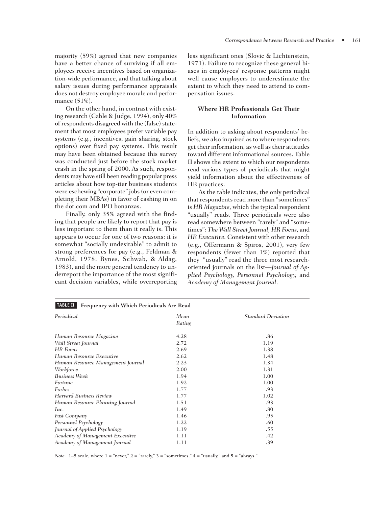majority (59%) agreed that new companies have a better chance of surviving if all employees receive incentives based on organization-wide performance, and that talking about salary issues during performance appraisals does not destroy employee morale and performance (51%).

On the other hand, in contrast with existing research (Cable & Judge, 1994), only 40% of respondents disagreed with the (false) statement that most employees prefer variable pay systems (e.g., incentives, gain sharing, stock options) over fixed pay systems. This result may have been obtained because this survey was conducted just before the stock market crash in the spring of 2000. As such, respondents may have still been reading popular press articles about how top-tier business students were eschewing "corporate" jobs (or even completing their MBAs) in favor of cashing in on the dot.com and IPO bonanzas.

Finally, only 35% agreed with the finding that people are likely to report that pay is less important to them than it really is. This appears to occur for one of two reasons: it is somewhat "socially undesirable" to admit to strong preferences for pay (e.g., Feldman & Arnold, 1978; Rynes, Schwab, & Aldag, 1983), and the more general tendency to underreport the importance of the most significant decision variables, while overreporting

less significant ones (Slovic & Lichtenstein, 1971). Failure to recognize these general biases in employees' response patterns might well cause employers to underestimate the extent to which they need to attend to compensation issues.

## **Where HR Professionals Get Their Information**

In addition to asking about respondents' beliefs, we also inquired as to where respondents get their information, as well as their attitudes toward different informational sources. Table II shows the extent to which our respondents read various types of periodicals that might yield information about the effectiveness of HR practices.

As the table indicates, the only periodical that respondents read more than "sometimes" is *HR Magazine,* which the typical respondent "usually" reads. Three periodicals were also read somewhere between "rarely" and "sometimes": *The Wall Street Journal, HR Focus,* and *HR Executive.* Consistent with other research (e.g., Offermann & Spiros, 2001), very few respondents (fewer than 1%) reported that they "usually" read the three most researchoriented journals on the list—*Journal of Applied Psychology, Personnel Psychology,* and *Academy of Management Journal*.

| TABLE II<br><b>Frequency with Which Periodicals Are Read</b> |                |                           |
|--------------------------------------------------------------|----------------|---------------------------|
| Periodical                                                   | Mean<br>Rating | <b>Standard Deviation</b> |
| Human Resource Magazine                                      | 4.28           | .86                       |
| Wall Street Journal                                          | 2.72           | 1.19                      |
| <b>HR</b> Focus                                              | 2.69           | 1.38                      |
| Human Resource Executive                                     | 2.62           | 1.48                      |
| Human Resource Management Journal                            | 2.23           | 1.34                      |
| Workforce                                                    | 2.00           | 1.31                      |
| <b>Business Week</b>                                         | 1.94           | 1.00                      |
| Fortune                                                      | 1.92           | 1.00                      |
| Forbes                                                       | 1.77           | .93                       |
| Harvard Business Review                                      | 1.77           | 1.02                      |
| Human Resource Planning Journal                              | 1.51           | .93                       |
| Inc.                                                         | 1.49           | .80                       |
| <b>Fast Company</b>                                          | 1.46           | .95                       |
| Personnel Psychology                                         | 1.22           | .60                       |
| Journal of Applied Psychology                                | 1.19           | .55                       |
| <b>Academy of Management Executive</b>                       | 1.11           | .42                       |
| Academy of Management Journal                                | 1.11           | .39                       |

*Note*.  $1-5$  scale, where  $1 = \text{``never''}$   $2 = \text{``rarely''}$   $3 = \text{``sometimes''}$   $4 = \text{``usually''}$  and  $5 = \text{``always''}$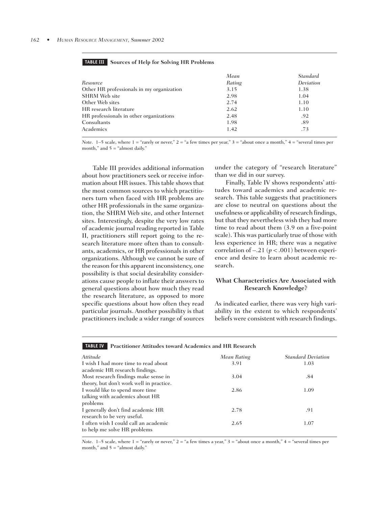#### **TABLE III Sources of Help for Solving HR Problems**

|                                           | Mean   | Standard  |
|-------------------------------------------|--------|-----------|
| Resource                                  | Rating | Deviation |
| Other HR professionals in my organization | 3.15   | 1.38      |
| <b>SHRM</b> Web site                      | 2.98   | 1.04      |
| Other Web sites                           | 2.74   | 1.10      |
| HR research literature                    | 2.62   | 1.10      |
| HR professionals in other organizations   | 2.48   | .92       |
| Consultants                               | 1.98   | .89       |
| Academics                                 | 1.42   | .73       |

*Note*. 1–5 scale, where 1 = "rarely or never," 2 = "a few times per year," 3 = "about once a month," 4 = "several times per month," and 5 = "almost daily."

Table III provides additional information about how practitioners seek or receive information about HR issues. This table shows that the most common sources to which practitioners turn when faced with HR problems are other HR professionals in the same organization, the SHRM Web site, and other Internet sites. Interestingly, despite the very low rates of academic journal reading reported in Table II, practitioners still report going to the research literature more often than to consultants, academics, or HR professionals in other organizations. Although we cannot be sure of the reason for this apparent inconsistency, one possibility is that social desirability considerations cause people to inflate their answers to general questions about how much they read the research literature, as opposed to more specific questions about how often they read particular journals. Another possibility is that practitioners include a wider range of sources

under the category of "research literature" than we did in our survey.

Finally, Table IV shows respondents' attitudes toward academics and academic research. This table suggests that practitioners are close to neutral on questions about the usefulness or applicability of research findings, but that they nevertheless wish they had more time to read about them (3.9 on a five-point scale). This was particularly true of those with less experience in HR; there was a negative correlation of  $-.21$  ( $p < .001$ ) between experience and desire to learn about academic research.

## **What Characteristics Are Associated with Research Knowledge?**

As indicated earlier, there was very high variability in the extent to which respondents' beliefs were consistent with research findings.

| <b>TABLE IV</b> Practitioner Attitudes toward Academics and HR Research          |             |                           |  |  |  |  |
|----------------------------------------------------------------------------------|-------------|---------------------------|--|--|--|--|
| Attitude                                                                         | Mean Rating | <b>Standard Deviation</b> |  |  |  |  |
| I wish I had more time to read about<br>academic HR research findings.           | 3.91        | 1.03                      |  |  |  |  |
| Most research findings make sense in<br>theory, but don't work well in practice. | 3.04        | .84                       |  |  |  |  |
| I would like to spend more time<br>talking with academics about HR<br>problems   | 2.86        | 1.09                      |  |  |  |  |
| I generally don't find academic HR<br>research to be very useful.                | 2.78        | .91                       |  |  |  |  |
| I often wish I could call an academic<br>to help me solve HR problems            | 2.65        | 1.07                      |  |  |  |  |

*Note*. 1–5 scale, where 1 = "rarely or never," 2 = "a few times a year," 3 = "about once a month," 4 = "several times per month," and 5 = "almost daily."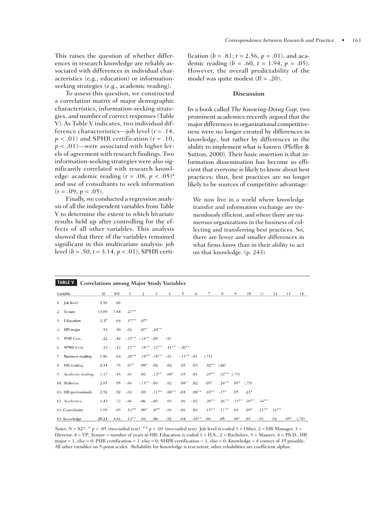This raises the question of whether differences in research knowledge are reliably associated with differences in individual characteristics (e.g., education) or informationseeking strategies (e.g., academic reading).

To assess this question, we constructed a correlation matrix of major demographic characteristics, information-seeking strategies, and number of correct responses (Table V). As Table V indicates, two individual difference characteristics—job level (*r* = .14,  $p < .01$ ) and SPHR certification ( $r = .10$ ,  $p < .01$ )—were associated with higher levels of agreement with research findings. Two information-seeking strategies were also significantly correlated with research knowledge: academic reading  $(r = .08, p < .05)^4$ and use of consultants to seek information  $(r=.09, p < .05).$ 

Finally, we conducted a regression analysis of all the independent variables from Table V to determine the extent to which bivariate results held up after controlling for the effects of all other variables. This analysis showed that three of the variables remained significant in this multivariate analysis: job level (*b* = .50, *t* = 3.14, *p* < .01), SPHR certification ( $b = .81$ ;  $t = 2.56$ ,  $p = .01$ ), and academic reading  $(b = .60, t = 1.94, p = .05)$ . However, the overall predictability of the model was quite modest  $(R = .20)$ .

#### **Discussion**

In a book called *The Knowing-Doing Gap,* two prominent academics recently argued that the major differences in organizational competitiveness were no longer created by differences in knowledge, but rather by differences in the ability to implement what is known (Pfeffer & Sutton, 2000). Their basic assertion is that information dissemination has become so efficient that everyone is likely to know about best practices; thus, best practices are no longer likely to be sources of competitive advantage:

We now live in a world where knowledge transfer and information exchange are tremendously efficient, and where there are numerous organizations in the business of collecting and transferring best practices. So, there are fewer and smaller differences in what firms know than in their ability to act on that knowledge. (p. 243)

| <b>TABLE V</b><br><b>Correlations among Major Study Variables</b> |       |                  |                     |                |                   |                |                 |          |               |                       |              |                   |               |          |        |             |
|-------------------------------------------------------------------|-------|------------------|---------------------|----------------|-------------------|----------------|-----------------|----------|---------------|-----------------------|--------------|-------------------|---------------|----------|--------|-------------|
| Variable                                                          | M     | SD.              | ŧ                   | $\overline{2}$ | 3                 | $\overline{4}$ | $\overline{2}$  | 6        | 7             | 8                     | 9            | $10^{\circ}$      | $\frac{1}{2}$ | 12       | 13     | $ 4\rangle$ |
| 1. Job level                                                      | 2.56  | .86              |                     |                |                   |                |                 |          |               |                       |              |                   |               |          |        |             |
| 2. Tenure                                                         | 13.89 | 7.84             | $.27***$            |                |                   |                |                 |          |               |                       |              |                   |               |          |        |             |
| 3. Education                                                      | 2.37  | .64              | $.17***$            | $.07*$         |                   |                |                 |          |               |                       |              |                   |               |          |        |             |
| 4. HR major                                                       | .53   | .50 <sub>1</sub> | $-.02$              |                | $.07^*$ $.24***$  |                |                 |          |               |                       |              |                   |               |          |        |             |
| 5. PHR Cert.                                                      | .22   | .42              | $-15*** -16*** -05$ |                |                   | $-.01$         |                 |          |               |                       |              |                   |               |          |        |             |
| 6. SPHR Cert.                                                     | .23   | .42              | $.11***$            |                | $.18***$ $.12***$ |                | $.14***-.20***$ |          |               |                       |              |                   |               |          |        |             |
| 7. Business reading                                               | 1.86  | .64              | $.20***$            |                | $.19***$ $.18***$ | $-.01$         | $-13**-01$      |          | (.71)         |                       |              |                   |               |          |        |             |
| 8. HR reading                                                     | 2.54  | .76              | $.07*$              | $.08*$         | .02               | .02            | .05             | .03      | $.32**$ (.68) |                       |              |                   |               |          |        |             |
| 9. Academic reading                                               | 1.17  | .45              | .01                 | .02            | $.12***$          | $.08*$         | .03             | .01      | $.29***$      | $.32**$ (.79)         |              |                   |               |          |        |             |
| 10. Websites                                                      | 2.87  | .95              | $-.06$              | $-13** -03$    |                   | .02            | .08 $*$         | .02      | $.09*$        | $.24***$              | $.09*$ (.73) |                   |               |          |        |             |
| 11. HR professionals                                              | 2.52  | .92              | $-.02$              | .03            | $.11***$          | $.08**$        | $-.01$          | $.08***$ | $.10**$       | $.17*$                | .05          | $.23*$            |               |          |        |             |
| 12. Academics                                                     | 1.43  | .72              | $-.06$              | $-.06$         | $-.02$            | .03            | .06             | $-.02$   | $.20**$       | $.26***$              |              | $.23***$ $.20***$ | $24***$       |          |        |             |
| 13. Consultants                                                   | 1.99  | .89              | $.14***$            | $.09*$         | $.07*$            | $-.04$         | $-.06$          | .02      | $.15***$      | $\cdot$ . If $^{3.3}$ | .04          | $.09*$            | $.21***$      | $.16***$ |        |             |
| 14. Knowledge                                                     | 20.21 | 3.66             | $.14***$            | .04            | .06               | $-.02$         | $-.04$          | $.10**$  | .06           | .05                   | $.08*$       | .03               | $-.01$        | .02      | $.09*$ | (.70)       |

*Notes*:  $N = 827$ .  $* p < .05$  (two-tailed test).  $* * p < .01$  (two-tailed test). Job level is coded  $1 =$  Other,  $2 =$  HR Manager,  $3 =$ Director, 4 = VP; Tenure = number of years in HR; Education is coded 1 = H.S., 2 = Bachelors, 3 = Masters, 4 = Ph.D.; HR major = 1, else = 0; PHR certification = 1, else = 0; SHPR certification = 1, else = 0. Knowledge = # correct of 35 possible. All other variables on 5-point scales. Reliability for Knowledge is test-retest; other reliabilities are coefficient alphas.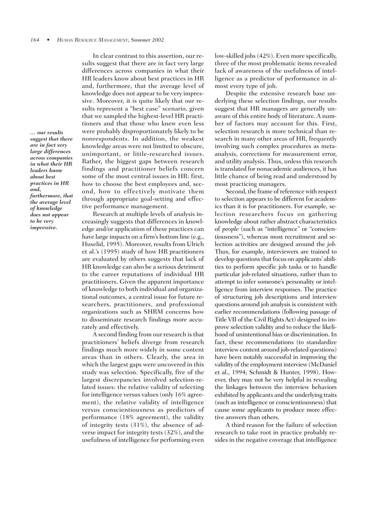*… our results suggest that there are in fact very large differences across companies in what their HR leaders know about best practices in HR and, furthermore, that the average level of knowledge does not appear to be very impressive.*

In clear contrast to this assertion, our results suggest that there are in fact very large differences across companies in what their HR leaders know about best practices in HR and, furthermore, that the average level of knowledge does not appear to be very impressive. Moreover, it is quite likely that our results represent a "best case" scenario, given that we sampled the highest-level HR practitioners and that those who knew even less were probably disproportionately likely to be nonrespondents. In addition, the weakest knowledge areas were not limited to obscure, unimportant, or little-researched issues. Rather, the biggest gaps between research findings and practitioner beliefs concern some of the most central issues in HR: first, how to choose the best employees and, second, how to effectively motivate them through appropriate goal-setting and effective performance management.

Research at multiple levels of analysis increasingly suggests that differences in knowledge and/or application of these practices can have large impacts on a firm's bottom line (e.g., Huselid, 1995). Moreover, results from Ulrich et al.'s (1995) study of how HR practitioners are evaluated by others suggests that lack of HR knowledge can also be a serious detriment to the career reputations of individual HR practitioners. Given the apparent importance of knowledge to both individual and organizational outcomes, a central issue for future researchers, practitioners, and professional organizations such as SHRM concerns how to disseminate research findings more accurately and effectively.

A second finding from our research is that practitioners' beliefs diverge from research findings much more widely in some content areas than in others. Clearly, the area in which the largest gaps were uncovered in this study was selection. Specifically, five of the largest discrepancies involved selection-related issues: the relative validity of selecting for intelligence versus values (only 16% agreement), the relative validity of intelligence versus conscientiousness as predictors of performance (18% agreement), the validity of integrity tests (31%), the absence of adverse impact for integrity tests (32%), and the usefulness of intelligence for performing even

low-skilled jobs (42%). Even more specifically, three of the most problematic items revealed lack of awareness of the usefulness of intelligence as a predictor of performance in almost every type of job.

Despite the extensive research base underlying these selection findings, our results suggest that HR managers are generally unaware of this entire body of literature. A number of factors may account for this. First, selection research is more technical than research in many other areas of HR, frequently involving such complex procedures as metaanalysis, corrections for measurement error, and utility analysis. Thus, unless this research is translated for nonacademic audiences, it has little chance of being read and understood by most practicing managers.

Second, the frame of reference with respect to selection appears to be different for academics than it is for practitioners. For example, selection researchers focus on gathering knowledge about rather abstract characteristics of *people* (such as "intelligence" or "conscientiousness"), whereas most recruitment and selection activities are designed around the *job.* Thus, for example, interviewers are trained to develop questions that focus on applicants' abilities to perform specific job tasks or to handle particular job-related situations, rather than to attempt to infer someone's personality or intelligence from interview responses. The practice of structuring job descriptions and interview questions around job analysis is consistent with earlier recommendations (following passage of Title VII of the Civil Rights Act) designed to improve selection validity and to reduce the likelihood of unintentional bias or discrimination. In fact, these recommendations (to standardize interview content around job-related questions) have been notably successful in improving the validity of the employment interview (McDaniel et al., 1994; Schmidt & Hunter, 1998). However, they may not be very helpful in revealing the linkages between the interview behaviors exhibited by applicants and the underlying traits (such as intelligence or conscientiousness) that cause some applicants to produce more effective answers than others.

A third reason for the failure of selection research to take root in practice probably resides in the negative coverage that intelligence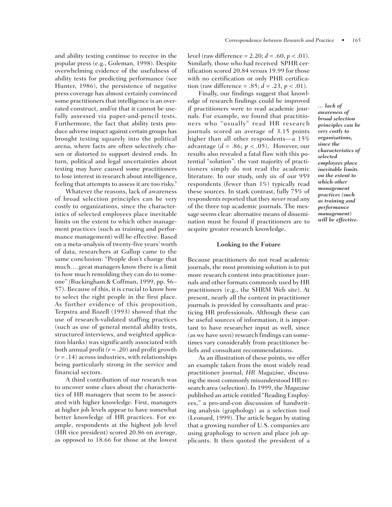and ability testing continue to receive in the popular press (e.g., Goleman, 1998). Despite overwhelming evidence of the usefulness of ability tests for predicting performance (see Hunter, 1986), the persistence of negative press coverage has almost certainly convinced some practitioners that intelligence is an overrated construct, and/or that it cannot be usefully assessed via paper-and-pencil tests. Furthermore, the fact that ability tests produce adverse impact against certain groups has brought testing squarely into the political arena, where facts are often selectively chosen or distorted to support desired ends. In turn, political and legal uncertainties about testing may have caused some practitioners to lose interest in research about intelligence, feeling that attempts to assess it are too risky.<sup>5</sup>

Whatever the reasons, lack of awareness of broad selection principles can be very costly to organizations, since the characteristics of selected employees place inevitable limits on the extent to which other management practices (such as training and performance management) will be effective. Based on a meta-analysis of twenty-five years' worth of data, researchers at Gallup came to the same conclusion: "People don't change that much….great managers know there is a limit to how much remolding they can do to someone" (Buckingham & Coffman, 1999, pp. 56– 57). Because of this, it is crucial to know how to select the right people in the first place. As further evidence of this proposition, Terpstra and Rozell (1993) showed that the use of research-validated staffing practices (such as use of general mental ability tests, structured interviews, and weighted application blanks) was significantly associated with both annual profit  $(r = .20)$  and profit growth  $(r = .14)$  across industries, with relationships being particularly strong in the service and financial sectors.

A third contribution of our research was to uncover some clues about the characteristics of HR managers that seem to be associated with higher knowledge. First, managers at higher job levels appear to have somewhat better knowledge of HR practices. For example, respondents at the highest job level (HR vice president) scored 20.86 on average, as opposed to 18.66 for those at the lowest

level (raw difference = 2.20;  $d = .60, p < .01$ ). Similarly, those who had received SPHR certification scored 20.84 versus 19.99 for those with no certification or only PHR certification (raw difference =  $.85$ ;  $d = .23$ ,  $p < .01$ ).

Finally, our findings suggest that knowledge of research findings could be improved if practitioners were to read academic journals. For example, we found that practitioners who "usually" read HR research journals scored an average of 3.15 points higher than all other respondents—a 15% advantage  $(d = .86; p < .05)$ . However, our results also revealed a fatal flaw with this potential "solution": the vast majority of practitioners simply do not read the academic literature. In our study, only *six* of our 959 respondents (fewer than 1%) typically read these sources. In stark contrast, fully 75% of respondents reported that they *never* read any of the three top academic journals. The message seems clear: alternative means of dissemination must be found if practitioners are to acquire greater research knowledge.

#### **Looking to the Future**

Because practitioners do not read academic journals, the most promising solution is to put more research content into practitioner journals and other formats commonly used by HR practitioners (e.g., the SHRM Web site). At present, nearly all the content in practitioner journals is provided by consultants and practicing HR professionals. Although these can be useful sources of information, it is important to have researcher input as well, since (as we have seen) research findings can sometimes vary considerably from practitioner beliefs and consultant recommendations.

As an illustration of these points, we offer an example taken from the most widely read practitioner journal, *HR Magazine*, discussing the most commonly misunderstood HR research area (selection). In 1999, the *Magazine* published an article entitled "Reading Employees," a pro-and-con discussion of handwriting analysis (graphology) as a selection tool (Leonard, 1999). The article began by stating that a growing number of U.S. companies are using graphology to screen and place job applicants. It then quoted the president of a

*… lack of awareness of broad selection principles can be very costly to organizations, since the characteristics of selected employees place inevitable limits on the extent to which other management practices (such as training and performance management) will be effective.*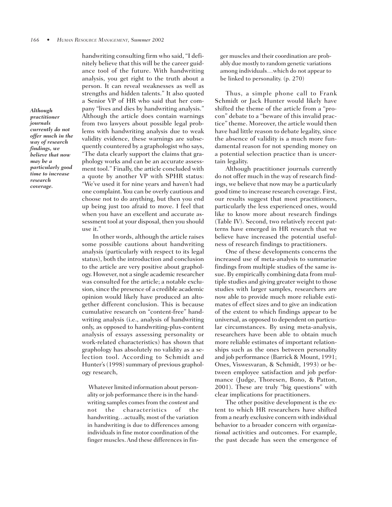*Although practitioner journals currently do not offer much in the way of research findings, we believe that now may be a particularly good time to increase research coverage.*

handwriting consulting firm who said, "I definitely believe that this will be the career guidance tool of the future. With handwriting analysis, you get right to the truth about a person. It can reveal weaknesses as well as strengths and hidden talents." It also quoted a Senior VP of HR who said that her company "lives and dies by handwriting analysis." Although the article does contain warnings from two lawyers about possible legal problems with handwriting analysis due to weak validity evidence, these warnings are subsequently countered by a graphologist who says, "The data clearly support the claims that graphology works and can be an accurate assessment tool." Finally, the article concluded with a quote by another VP with SPHR status: "We've used it for nine years and haven't had one complaint. You can be overly cautious and choose not to do anything, but then you end up being just too afraid to move. I feel that when you have an excellent and accurate assessment tool at your disposal, then you should use it."

In other words, although the article raises some possible cautions about handwriting analysis (particularly with respect to its legal status), both the introduction and conclusion to the article are very positive about graphology. However, not a single academic researcher was consulted for the article; a notable exclusion, since the presence of a credible academic opinion would likely have produced an altogether different conclusion. This is because cumulative research on "content-free" handwriting analysis (i.e., analysis of handwriting only, as opposed to handwriting-plus-content analysis of essays assessing personality or work-related characteristics) has shown that graphology has absolutely no validity as a selection tool. According to Schmidt and Hunter's (1998) summary of previous graphology research,

 Whatever limited information about personality or job performance there is in the handwriting samples comes from the *content* and not the characteristics of the handwriting…actually, most of the variation in handwriting is due to differences among individuals in fine motor coordination of the finger muscles. And these differences in fin-

ger muscles and their coordination are probably due mostly to random genetic variations among individuals…which do not appear to be linked to personality. (p. 270)

Thus, a simple phone call to Frank Schmidt or Jack Hunter would likely have shifted the theme of the article from a "procon" debate to a "beware of this invalid practice" theme. Moreover, the article would then have had little reason to debate legality, since the absence of validity is a much more fundamental reason for not spending money on a potential selection practice than is uncertain legality.

Although practitioner journals currently do not offer much in the way of research findings, we believe that now may be a particularly good time to increase research coverage. First, our results suggest that most practitioners, particularly the less experienced ones, would like to know more about research findings (Table IV). Second, two relatively recent patterns have emerged in HR research that we believe have increased the potential usefulness of research findings to practitioners.

One of these developments concerns the increased use of meta-analysis to summarize findings from multiple studies of the same issue. By empirically combining data from multiple studies and giving greater weight to those studies with larger samples, researchers are now able to provide much more reliable estimates of effect sizes and to give an indication of the extent to which findings appear to be universal, as opposed to dependent on particular circumstances. By using meta-analysis, researchers have been able to obtain much more reliable estimates of important relationships such as the ones between personality and job performance (Barrick & Mount, 1991; Ones, Viswesvaran, & Schmidt, 1993) or between employee satisfaction and job performance (Judge, Thoresen, Bono, & Patton, 2001). These are truly "big questions" with clear implications for practitioners.

The other positive development is the extent to which HR researchers have shifted from a nearly exclusive concern with individual behavior to a broader concern with *organizational* activities and outcomes. For example, the past decade has seen the emergence of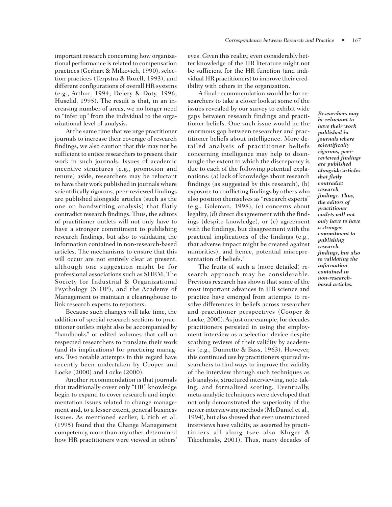important research concerning how organizational performance is related to compensation practices (Gerhart & Milkovich, 1990), selection practices (Terpstra & Rozell, 1993), and different configurations of overall HR systems (e.g., Arthur, 1994; Delery & Doty, 1996; Huselid, 1995). The result is that, in an increasing number of areas, we no longer need to "infer up" from the individual to the organizational level of analysis.

At the same time that we urge practitioner journals to increase their coverage of research findings, we also caution that this may not be sufficient to entice researchers to present their work in such journals. Issues of academic incentive structures (e.g., promotion and tenure) aside, researchers may be reluctant to have their work published in journals where scientifically rigorous, peer-reviewed findings are published alongside articles (such as the one on handwriting analysis) that flatly contradict research findings. Thus, the editors of practitioner outlets will not only have to have a stronger commitment to publishing research findings, but also to validating the information contained in non-research-based articles. The mechanisms to ensure that this will occur are not entirely clear at present, although one suggestion might be for professional associations such as SHRM, The Society for Industrial & Organizational Psychology (SIOP), and the Academy of Management to maintain a clearinghouse to link research experts to reporters.

Because such changes will take time, the addition of special research sections to practitioner outlets might also be accompanied by "handbooks" or edited volumes that call on respected researchers to translate their work (and its implications) for practicing managers. Two notable attempts in this regard have recently been undertaken by Cooper and Locke (2000) and Locke (2000).

Another recommendation is that journals that traditionally cover only "HR" knowledge begin to expand to cover research and implementation issues related to change management and, to a lesser extent, general business issues. As mentioned earlier, Ulrich et al. (1995) found that the Change Management competency, more than any other, determined how HR practitioners were viewed in others'

eyes. Given this reality, even considerably better knowledge of the HR literature might not be sufficient for the HR function (and individual HR practitioners) to improve their credibility with others in the organization.

A final recommendation would be for researchers to take a closer look at some of the issues revealed by our survey to exhibit wide gaps between research findings and practitioner beliefs. One such issue would be the enormous gap between researcher and practitioner beliefs about intelligence. More detailed analysis of practitioner beliefs concerning intelligence may help to disentangle the extent to which the discrepancy is due to each of the following potential explanations: (a) lack of knowledge about research findings (as suggested by this research), (b) exposure to conflicting findings by others who also position themselves as "research experts" (e.g., Goleman, 1998), (c) concerns about legality, (d) direct disagreement with the findings (despite knowledge), or (e) agreement with the findings, but disagreement with the practical implications of the findings (e.g., that adverse impact might be created against minorities), and hence, potential misrepresentation of beliefs.<sup>6</sup>

The fruits of such a (more detailed) research approach may be considerable. Previous research has shown that some of the most important advances in HR science and practice have emerged from attempts to resolve differences in beliefs across researcher and practitioner perspectives (Cooper & Locke, 2000). As just one example, for decades practitioners persisted in using the employment interview as a selection device despite scathing reviews of their validity by academics (e.g., Dunnette & Bass, 1963). However, this continued use by practitioners spurred researchers to find ways to improve the validity of the interview through such techniques as job analysis, structured interviewing, note-taking, and formalized scoring. Eventually, meta-analytic techniques were developed that not only demonstrated the superiority of the newer interviewing methods (McDaniel et al., 1994), but also showed that even unstructured interviews have validity, as asserted by practitioners all along (see also Kluger & Tikochinsky, 2001). Thus, many decades of

*Researchers may be reluctant to have their work published in journals where scientifically rigorous, peerreviewed findings are published alongside articles that flatly contradict research findings. Thus, the editors of practitioner outlets will not only have to have a stronger commitment to publishing research findings, but also to validating the information contained in non-researchbased articles.*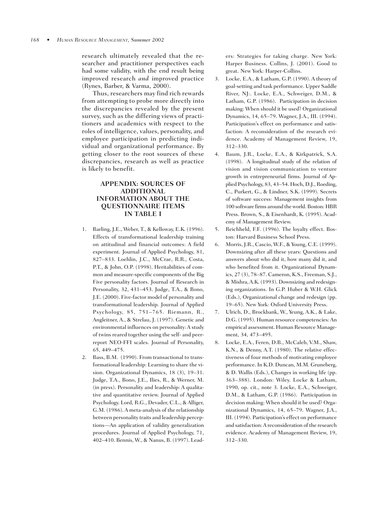research ultimately revealed that the researcher and practitioner perspectives each had some validity, with the end result being improved research *and* improved practice (Rynes, Barber, & Varma, 2000).

Thus, researchers may find rich rewards from attempting to probe more directly into the discrepancies revealed by the present survey, such as the differing views of practitioners and academics with respect to the roles of intelligence, values, personality, and employee participation in predicting individual and organizational performance. By getting closer to the root sources of these discrepancies, research as well as practice is likely to benefit.

## **APPENDIX: SOURCES OF ADDITIONAL INFORMATION ABOUT THE QUESTIONNAIRE ITEMS IN TABLE I**

- 1. Barling, J.E., Weber, T., & Kelloway, E.K. (1996). Effects of transformational leadership training on attitudinal and financial outcomes: A field experiment. Journal of Applied Psychology, 81, 827–833. Loehlin, J.C., McCrae, R.R., Costa, P.T., & John, O.P. (1998). Heritabilities of common and measure-specific components of the Big Five personality factors. Journal of Research in Personality, 32, 431–453. Judge, T.A., & Bono, J.E. (2000). Five-factor model of personality and transformational leadership. Journal of Applied Psychology, 85, 751–765. Riemann, R., Angleitner, A., & Strelau, J. (1997). Genetic and environmental influences on personality: A study of twins reared together using the self- and peerreport NEO-FFI scales. Journal of Personality, 65, 449–475.
- 2. Bass, B.M. (1990). From transactional to transformational leadership: Learning to share the vision. Organizational Dynamics, 18 (3), 19–31. Judge, T.A., Bono, J.E., Ilies, R., & Werner, M. (in press). Personality and leadership: A qualitative and quantitative review. Journal of Applied Psychology. Lord, R.G., Devader, C.L., & Alliger, G.M. (1986). A meta-analysis of the relationship between personality traits and leadership perceptions—An application of validity generalization procedures. Journal of Applied Psychology, 71, 402–410. Bennis, W., & Nanus, B. (1997). Lead-

ers: Strategies for taking charge. New York: Harper Business. Collins, J. (2001). Good to great. New York: Harper-Collins.

- 3. Locke, E.A., & Latham, G.P. (1990). A theory of goal-setting and task performance. Upper Saddle River, NJ:. Locke, E.A., Schweiger, D.M., & Latham, G.P. (1986). Participation in decision making: When should it be used? Organizational Dynamics, 14, 65–79. Wagner, J.A., III. (1994). Participation's effect on performance and satisfaction: A reconsideration of the research evidence. Academy of Management Review, 19, 312–330.
- 4. Baum, J.R., Locke, E.A., & Kirkpatrick, S.A. (1998). A longitudinal study of the relation of vision and vision communication to venture growth in entrepreneurial firms. Journal of Applied Psychology, 83, 43–54. Hoch, D.J., Roeding, C., Purkert, G., & Lindner, S.K. (1999). Secrets of software success: Management insights from 100 software firms around the world. Boston: HBR Press. Brown, S., & Eisenhardt, K. (1995). Academy of Management Review.
- 5. Reichheld, F.F. (1996). The loyalty effect. Boston: Harvard Business School Press.
- 6. Morris, J.R., Cascio, W.F., & Young, C.E. (1999). Downsizing after all these years: Questions and answers about who did it, how many did it, and who benefited from it. Organizational Dynamics, 27 (3), 78–87. Cameron, K.S., Freeman, S.J., & Mishra, A.K. (1993). Downsizing and redesigning organizations. In G.P. Huber & W.H. Glick (Eds.), Organizational change and redesign (pp. 19–65). New York: Oxford University Press.
- 7. Ulrich, D., Brockbank, W., Yeung, A.K., & Lake, D.G. (1995). Human resource competencies: An empirical assessment. Human Resource Management, 34, 473–495.
- 8. Locke, E.A., Feren, D.B., McCaleb, V.M., Shaw, K.N., & Denny, A.T. (1980). The relative effectiveness of four methods of motivating employee performance. In K.D. Duncan, M.M. Gruneberg, & D. Wallis (Eds.), Changes in working life (pp. 363–388). London: Wiley. Locke & Latham, 1990, op. cit., note 3. Locke, E.A., Schweiger, D.M., & Latham, G.P. (1986). Participation in decision making: When should it be used? Organizational Dynamics, 14, 65–79. Wagner, J.A., III. (1994). Participation's effect on performance and satisfaction: A reconsideration of the research evidence. Academy of Management Review, 19, 312–330.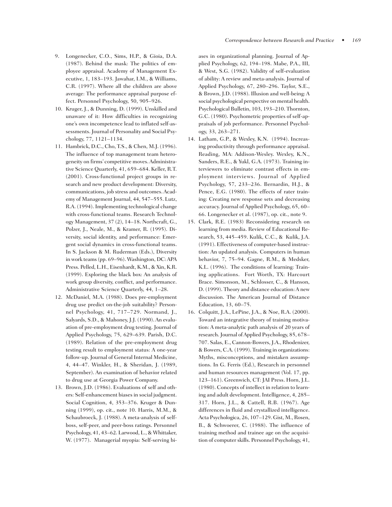- 9. Longenecker, C.O., Sims, H.P., & Gioia, D.A. (1987). Behind the mask: The politics of employee appraisal. Academy of Management Executive, 1, 183–193. Jawahar, I.M., & Williams, C.R. (1997). Where all the children are above average: The performance appraisal purpose effect. Personnel Psychology, 50, 905–926.
- 10. Kruger, J., & Dunning, D. (1999). Unskilled and unaware of it: How difficulties in recognizing one's own incompetence lead to inflated self-assessments. Journal of Personality and Social Psychology, 77, 1121–1134.
- 11. Hambrick, D.C., Cho, T.S., & Chen, M.J. (1996). The influence of top management team heterogeneity on firms' competitive moves. Administrative Science Quarterly, 41, 659–684. Keller, R.T. (2001). Cross-functional project groups in research and new product development: Diversity, communications, job stress and outcomes. Academy of Management Journal, 44, 547–555. Lutz, R.A. (1994). Implementing technological change with cross-functional teams. Research Technology Management, 37 (2), 14–18. Northcraft, G., Polzer, J., Neale, M., & Kramer, R. (1995). Diversity, social identity, and performance: Emergent social dynamics in cross-functional teams. In S. Jackson & M. Ruderman (Eds.), Diversity in work teams (pp. 69–96). Washington, DC: APA Press. Pelled, L.H., Eisenhardt, K.M., & Xin, K.R. (1999). Exploring the black box: An analysis of work group diversity, conflict, and performance. Administrative Science Quarterly, 44, 1–28.
- 12. McDaniel, M.A. (1988). Does pre-employment drug use predict on-the-job suitability? Personnel Psychology, 41, 717–729. Normand, J., Salyards, S.D., & Mahoney, J.J. (1990). An evaluation of pre-employment drug testing. Journal of Applied Psychology, 75, 629–639. Parish, D.C. (1989). Relation of the pre-employment drug testing result to employment status: A one-year follow-up. Journal of General Internal Medicine, 4, 44–47. Winkler, H., & Sheridan, J. (1989, September). An examination of behavior related to drug use at Georgia Power Company.
- 13. Brown, J.D. (1986). Evaluations of self and others: Self-enhancement biases in social judgment. Social Cognition, 4, 353–376. Kruger & Dunning (1999), op. cit., note 10. Harris, M.M., & Schaubroeck, J. (1988). A meta-analysis of selfboss, self-peer, and peer-boss ratings. Personnel Psychology, 41, 43–62. Larwood, L., & Whittaker, W. (1977). Managerial myopia: Self-serving bi-

ases in organizational planning. Journal of Applied Psychology, 62, 194–198. Mabe, P.A., III, & West, S.G. (1982). Validity of self-evaluation of ability: A review and meta-analysis. Journal of Applied Psychology, 67, 280–296. Taylor, S.E., & Brown, J.D. (1988). Illusion and well-being: A social psychological perspective on mental health. Psychological Bulletin, 103, 193–210. Thornton, G.C. (1980). Psychometric properties of self-appraisals of job performance. Personnel Psychology, 33, 263–271.

- 14. Latham, G.P., & Wexley, K.N. (1994). Increasing productivity through performance appraisal. Reading, MA: Addison-Wesley. Wexley, K.N., Sanders, R.E., & Yukl, G.A. (1973). Training interviewers to eliminate contrast effects in employment interviews. Journal of Applied Psychology, 57, 233–236. Bernardin, H.J., & Pence, E.G. (1980). The effects of rater training: Creating new response sets and decreasing accuracy. Journal of Applied Psychology, 65, 60– 66. Longenecker et al. (1987), op. cit., note 9.
- 15. Clark, R.E. (1983) Reconsidering research on learning from media. Review of Educational Research, 53, 445–459. Kulik, C.C., & Kulik, J.A. (1991). Effectiveness of computer-based instruction: An updated analysis. Computers in human behavior, 7, 75–94. Gagne, R.M., & Medsker, K.L. (1996). The conditions of learning: Training applications. Fort Worth, TX: Harcourt Brace. Simonson, M., Schlosser, C., & Hanson, D. (1999). Theory and distance education: A new discussion. The American Journal of Distance Education, 13, 60–75.
- 16. Colquitt, J.A., LePine, J.A., & Noe, R.A. (2000). Toward an integrative theory of training motivation: A meta-analytic path analysis of 20 years of research. Journal of Applied Psychology, 85, 678– 707. Salas, E., Cannon-Bowers, J.A., Rhodenizer, & Bowers, C.A. (1999). Training in organizations: Myths, misconceptions, and mistaken assumptions. In G. Ferris (Ed.), Research in personnel and human resources management (Vol. 17, pp. 123–161). Greenwich, CT: JAI Press. Horn, J.L. (1980). Concepts of intellect in relation to learning and adult development. Intelligence, 4, 285– 317. Horn, J.L., & Cattell, R.B. (1967). Age differences in fluid and crystallized intelligence. Acta Psychologica, 26, 107–129. Gist, M., Rosen, B., & Schwoerer, C. (1988). The influence of training method and trainee age on the acquisition of computer skills. Personnel Psychology, 41,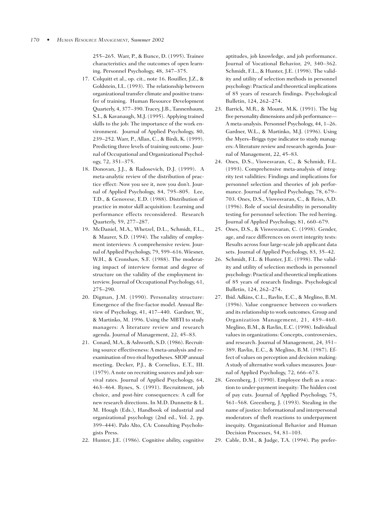255–265. Warr, P., & Bunce, D. (1995). Trainee characteristics and the outcomes of open learning. Personnel Psychology, 48, 347–375.

- 17. Colquitt et al., op. cit., note 16. Rouiller, J.Z., & Goldstein, I.L. (1993). The relationship between organizational transfer climate and positive transfer of training. Human Resource Development Quarterly, 4, 377–390. Tracey, J.B., Tannenbaum, S.I., & Kavanaugh, M.J. (1995). Applying trained skills to the job: The importance of the work environment. Journal of Applied Psychology, 80, 239–252. Warr, P., Allan, C., & Birdi, K. (1999). Predicting three levels of training outcome. Journal of Occupational and Organizational Psychology, 72, 351–375.
- 18. Donovan, J.J., & Radosevich, D.J. (1999). A meta-analytic review of the distribution of practice effect: Now you see it, now you don't. Journal of Applied Psychology, 84, 795–805. Lee, T.D., & Genovese, E.D. (1988). Distribution of practice in motor skill acquisition: Learning and performance effects reconsidered. Research Quarterly, 59, 277–287.
- 19. McDaniel, M.A., Whetzel, D.L., Schmidt, F.L., & Maurer, S.D. (1994). The validity of employment interviews: A comprehensive review. Journal of Applied Psychology, 79, 599–616. Wiesner, W.H., & Cronshaw, S.F. (1988). The moderating impact of interview format and degree of structure on the validity of the employment interview. Journal of Occupational Psychology, 61, 275–290.
- 20. Digman, J.M. (1990). Personality structure: Emergence of the five-factor model. Annual Review of Psychology, 41, 417–440. Gardner, W., & Martinko, M. 1996. Using the MBTI to study managers: A literature review and research agenda. Journal of Management, 22, 45–83.
- 21. Conard, M.A., & Ashworth, S.D. (1986). Recruiting source effectiveness: A meta-analysis and reexamination of two rival hypotheses. SIOP annual meeting. Decker, P.J., & Cornelius, E.T., III. (1979). A note on recruiting sources and job survival rates. Journal of Applied Psychology, 64, 463–464. Rynes, S. (1991). Recruitment, job choice, and post-hire consequences: A call for new research directions. In M.D. Dunnette & L. M. Hough (Eds.), Handbook of industrial and organizational psychology (2nd ed., Vol. 2, pp. 399–444). Palo Alto, CA: Consulting Psychologists Press.
- 22. Hunter, J.E. (1986). Cognitive ability, cognitive

aptitudes, job knowledge, and job performance. Journal of Vocational Behavior, 29, 340–362. Schmidt, F.L., & Hunter, J.E. (1998). The validity and utility of selection methods in personnel psychology: Practical and theoretical implications of 85 years of research findings. Psychological Bulletin, 124, 262–274.

- 23. Barrick, M.R., & Mount, M.K. (1991). The big five personality dimensions and job performance— A meta-analysis. Personnel Psychology, 44, 1–26. Gardner, W.L., & Martinko, M.J. (1996). Using the Myers–Briggs type indicator to study managers: A literature review and research agenda. Journal of Management, 22, 45–83.
- 24. Ones, D.S., Viswesvaran, C., & Schmidt, F.L. (1993). Comprehensive meta-analysis of integrity test validities: Findings and implications for personnel selection and theories of job performance. Journal of Applied Psychology, 78, 679– 703. Ones, D.S., Viswesvaran, C., & Reiss, A.D. (1996). Role of social desirability in personality testing for personnel selection: The red herring. Journal of Applied Psychology, 81, 660–679.
- 25. Ones, D.S., & Viswesvaran, C. (1998). Gender, age, and race differences on overt integrity tests: Results across four large-scale job applicant data sets. Journal of Applied Psychology, 83, 35–42.
- 26. Schmidt, F.L. & Hunter, J.E. (1998). The validity and utility of selection methods in personnel psychology: Practical and theoretical implications of 85 years of research findings. Psychological Bulletin, 124, 262–274.
- 27. Ibid. Adkins, C.L., Ravlin, E.C., & Meglino, B.M. (1996). Value congruence between co-workers and its relationship to work outcomes. Group and Organization Management, 21, 439–460. Meglino, B.M., & Ravlin, E.C. (1998). Individual values in organizations: Concepts, controversies, and research. Journal of Management, 24, 351– 389. Ravlin, E.C., & Meglino, B.M. (1987). Effect of values on perception and decision making: A study of alternative work values measures. Journal of Applied Psychology, 72, 666–673.
- 28. Greenberg, J. (1990). Employee theft as a reaction to under-payment inequity: The hidden cost of pay cuts. Journal of Applied Psychology, 75, 561–568. Greenberg, J. (1993). Stealing in the name of justice: Informational and interpersonal moderators of theft reactions to underpayment inequity. Organizational Behavior and Human Decision Processes, 54, 81–103.
- 29. Cable, D.M., & Judge, T.A. (1994). Pay prefer-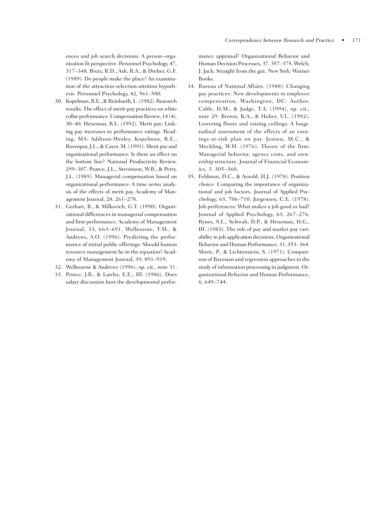ences and job search decisions: A person–organization fit perspective. Personnel Psychology, 47, 317–348. Bretz, R.D., Ash, R.A., & Dreher, G.F. (1989). Do people make the place? An examination of the attraction-selection-attrition hypothesis. Personnel Psychology, 42, 561–580.

- 30. Kopelman, R.E., & Reinharth, L. (1982). Research results: The effect of merit-pay practices on white collar performance. Compensation Review, 14 (4), 30–40. Heneman, R.L. (1992). Merit pay: Linking pay increases to performance ratings. Reading, MA: Addison-Wesley. Kopelman, R.E., Rovenpor, J.L., & Cayer, M. (1991). Merit pay and organizational performance: Is there an effect on the bottom line? National Productivity Review, 299–307. Pearce, J.L., Stevenson, W.B., & Perry, J.L. (1985). Managerial compensation based on organizational performance: A time series analysis of the effects of merit pay. Academy of Management Journal, 28, 261–278.
- 31. Gerhart, B., & Milkovich, G.T. (1990). Organizational differences in managerial compensation and firm performance. Academy of Management Journal, 33, 663–691. Welbourne, T.M., & Andrews, A.O. (1996). Predicting the performance of initial public offerings: Should human resource management be in the equation? Academy of Management Journal, 39, 891–919.
- 32. Welbourne & Andrews (1996), op. cit., note 31.
- 33. Prince, J.B., & Lawler, E.E., III. (1986). Does salary discussion hurt the developmental perfor-

mance appraisal? Organizational Behavior and Human Decision Processes, 37, 357–375. Welch, J. Jack: Straight from the gut. New York: Warner Books.

- 34. Bureau of National Affairs. (1988). Changing pay practices: New developments in employee compensation. Washington, DC: Author. Cable, D.M., & Judge, T.A. (1994), op. cit., note 29. Brown, K.A., & Huber, V.L. (1992). Lowering floors and raising ceilings: A longitudinal assessment of the effects of an earnings-at-risk plan on pay. Jensen, M.C., & Meckling, W.H. (1976). Theory of the firm: Managerial behavior, agency costs, and ownership structure. Journal of Financial Economics, 3, 305–360.
- 35. Feldman, D.C., & Arnold, H.J. (1978). Position choice: Comparing the importance of organizational and job factors. Journal of Applied Psychology, 63, 706–710. Jurgensen, C.E. (1978). Job preferences: What makes a job good or bad? Journal of Applied Psychology, 63, 267–276. Rynes, S.L., Schwab, D.P., & Heneman, H.G., III. (1983). The role of pay and market pay variability in job application decisions. Organizational Behavior and Human Performance, 31, 353–364. Slovic, P., & Lichtenstein, S. (1971). Comparison of Bayesian and regression approaches to the study of information processing in judgment. Organizational Behavior and Human Performance, 6, 649–744.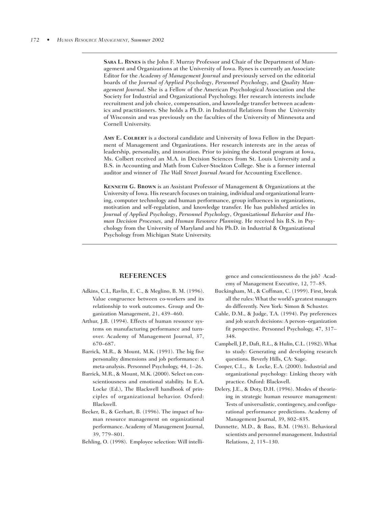**Sara L. Rynes** is the John F. Murray Professor and Chair of the Department of Management and Organizations at the University of Iowa. Rynes is currently an Associate Editor for the *Academy of Management Journal* and previously served on the editorial boards of the *Journal of Applied Psychology*, *Personnel Psychology*, and *Quality Management Journal*. She is a Fellow of the American Psychological Association and the Society for Industrial and Organizational Psychology. Her research interests include recruitment and job choice, compensation, and knowledge transfer between academics and practitioners. She holds a Ph.D. in Industrial Relations from the University of Wisconsin and was previously on the faculties of the University of Minnesota and Cornell University.

**Amy E. Colbert** is a doctoral candidate and University of Iowa Fellow in the Department of Management and Organizations. Her research interests are in the areas of leadership, personality, and innovation. Prior to joining the doctoral program at Iowa, Ms. Colbert received an M.A. in Decision Sciences from St. Louis University and a B.S. in Accounting and Math from Culver-Stockton College. She is a former internal auditor and winner of *The Wall Street Journal* Award for Accounting Excellence.

**KENNETH G. BROWN** is an Assistant Professor of Management & Organizations at the University of Iowa. His research focuses on training, individual and organizational learning, computer technology and human performance, group influences in organizations, motivation and self-regulation, and knowledge transfer. He has published articles in *Journal of Applied Psychology*, *Personnel Psychology*, *Organizational Behavior and Human Decision Processes*, and *Human Resource Planning*. He received his B.S. in Psychology from the University of Maryland and his Ph.D. in Industrial & Organizational Psychology from Michigan State University.

#### **REFERENCES**

- Adkins, C.L, Ravlin, E. C., & Meglino, B. M. (1996). Value congruence between co-workers and its relationship to work outcomes. Group and Organization Management, 21, 439–460.
- Arthur, J.B. (1994). Effects of human resource systems on manufacturing performance and turnover. Academy of Management Journal, 37, 670–687.
- Barrick, M.R., & Mount, M.K. (1991). The big five personality dimensions and job performance: A meta-analysis. Personnel Psychology, 44, 1–26.
- Barrick, M.R., & Mount, M.K. (2000). Select on conscientiousness and emotional stability. In E.A. Locke (Ed.), The Blackwell handbook of principles of organizational behavior. Oxford: Blackwell.
- Becker, B., & Gerhart, B. (1996). The impact of human resource management on organizational performance. Academy of Management Journal, 39, 779–801.
- Behling, O. (1998). Employee selection: Will intelli-

gence and conscientiousness do the job? Academy of Management Executive, 12, 77–85.

- Buckingham, M., & Coffman, C. (1999). First, break all the rules: What the world's greatest managers do differently. New York: Simon & Schuster.
- Cable, D.M., & Judge, T.A. (1994). Pay preferences and job search decisions: A person–organization fit perspective. Personnel Psychology, 47, 317– 348.
- Campbell, J.P., Daft, R.L., & Hulin, C.L. (1982). What to study: Generating and developing research questions. Beverly Hills, CA: Sage.
- Cooper, C.L., & Locke, E.A. (2000). Industrial and organizational psychology: Linking theory with practice. Oxford: Blackwell.
- Delery, J.E., & Doty, D.H. (1996). Modes of theorizing in strategic human resource management: Tests of universalistic, contingency, and configurational performance predictions. Academy of Management Journal, 39, 802–835.
- Dunnette, M.D., & Bass, B.M. (1963). Behavioral scientists and personnel management. Industrial Relations, 2, 115–130.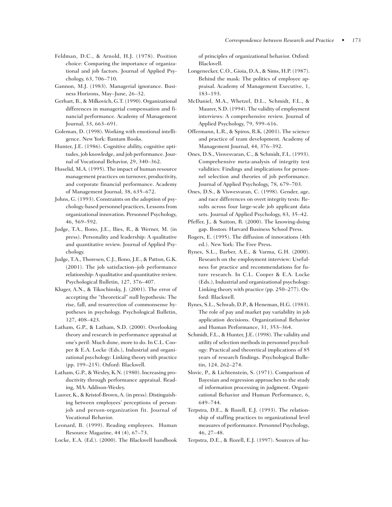- Feldman, D.C., & Arnold, H.J. (1978). Position choice: Comparing the importance of organizational and job factors. Journal of Applied Psychology, 63, 706–710.
- Gannon, M.J. (1983). Managerial ignorance. Business Horizons, May–June, 26–32.
- Gerhart, B., & Milkovich, G.T. (1990). Organizational differences in managerial compensation and financial performance. Academy of Management Journal, 33, 663–691.
- Goleman, D. (1998). Working with emotional intelligence. New York: Bantam Books.
- Hunter, J.E. (1986). Cognitive ability, cognitive aptitudes, job knowledge, and job performance. Journal of Vocational Behavior, 29, 340–362.
- Huselid, M.A. (1995). The impact of human resource management practices on turnover, productivity, and corporate financial performance. Academy of Management Journal, 38, 635–672.
- Johns, G. (1993). Constraints on the adoption of psychology-based personnel practices, Lessons from organizational innovation. Personnel Psychology, 46, 569–592.
- Judge, T.A., Bono, J.E., Ilies, R., & Werner, M. (in press). Personality and leadership: A qualitative and quantitative review. Journal of Applied Psychology.
- Judge, T.A., Thoresen, C.J., Bono, J.E., & Patton, G.K. (2001). The job satisfaction–job performance relationship: A qualitative and quantitative review. Psychological Bulletin, 127, 376–407.
- Kluger, A.N., & Tikochinsky, J. (2001). The error of accepting the "theoretical" null hypothesis: The rise, fall, and resurrection of commonsense hypotheses in psychology. Psychological Bulletin, 127, 408–423.
- Latham, G.P., & Latham, S.D. (2000). Overlooking theory and research in performance appraisal at one's peril: Much done, more to do. In C.L. Cooper & E.A. Locke (Eds.), Industrial and organizational psychology: Linking theory with practice (pp. 199–215). Oxford: Blackwell.
- Latham, G.P., & Wexley, K.N. (1980). Increasing productivity through performance appraisal. Reading, MA: Addison-Wesley.
- Lauver, K., & Kristof-Brown, A. (in press). Distinguishing between employees' perceptions of personjob and person-organization fit. Journal of Vocational Behavior.
- Leonard, B. (1999). Reading employees. Human Resource Magazine, 44 (4), 67–73.
- Locke, E.A. (Ed.). (2000). The Blackwell handbook

of principles of organizational behavior. Oxford: Blackwell.

- Longenecker, C.O., Gioia, D.A., & Sims, H.P. (1987). Behind the mask: The politics of employee appraisal. Academy of Management Executive, 1, 183–193.
- McDaniel, M.A., Whetzel, D.L., Schmidt, F.L., & Maurer, S.D. (1994). The validity of employment interviews: A comprehensive review. Journal of Applied Psychology, 79, 599–616.
- Offermann, L.R., & Spiros, R.K. (2001). The science and practice of team development. Academy of Management Journal, 44, 376–392.
- Ones, D.S., Viswesvaran, C., & Schmidt, F.L. (1993). Comprehensive meta-analysis of integrity test validities: Findings and implications for personnel selection and theories of job performance. Journal of Applied Psychology, 78, 679–703.
- Ones, D.S., & Viswesvaran, C. (1998). Gender, age, and race differences on overt integrity tests: Results across four large-scale job applicant data sets. Journal of Applied Psychology, 83, 35–42.
- Pfeffer, J., & Sutton, R. (2000). The knowing-doing gap*.* Boston: Harvard Business School Press.
- Rogers, E. (1995). The diffusion of innovations (4th ed.). New York: The Free Press.
- Rynes, S.L., Barber, A.E., & Varma, G.H. (2000). Research on the employment interview: Usefulness for practice and recommendations for future research. In C.L. Cooper & E.A. Locke (Eds.), Industrial and organizational psychology: Linking theory with practice (pp. 250–277). Oxford: Blackwell.
- Rynes, S.L., Schwab, D.P., & Heneman, H.G. (1983). The role of pay and market pay variability in job application decisions. Organizational Behavior and Human Performance, 31, 353–364.
- Schmidt, F.L., & Hunter, J.E. (1998). The validity and utility of selection methods in personnel psychology: Practical and theoretical implications of 85 years of research findings. Psychological Bulletin, 124, 262–274.
- Slovic, P., & Lichtenstein, S. (1971). Comparison of Bayesian and regression approaches to the study of information processing in judgment. Organizational Behavior and Human Performance, 6, 649–744.
- Terpstra, D.E., & Rozell, E.J. (1993). The relationship of staffing practices to organizational level measures of performance. Personnel Psychology*,* 46, 27–48.
- Terpstra, D.E., & Rozell, E.J. (1997). Sources of hu-